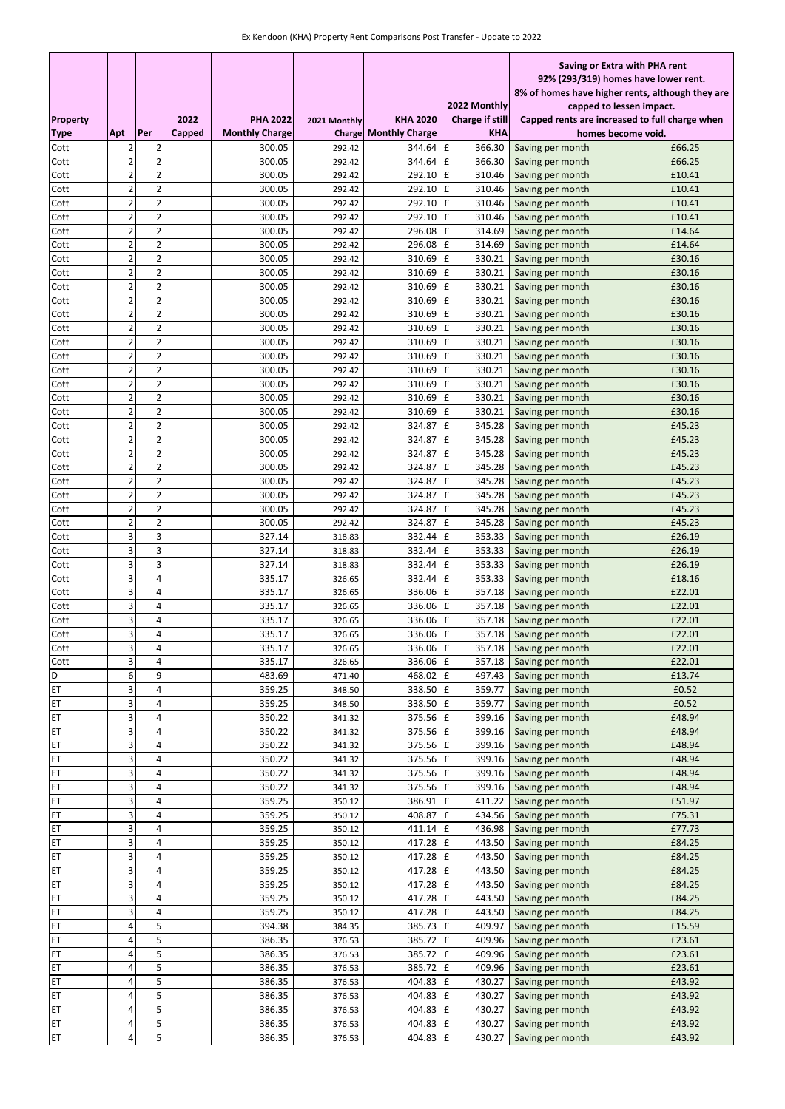|                 |                         |                         |        |                       |                  |                       |                        | Saving or Extra with PHA rent                    |                  |  |
|-----------------|-------------------------|-------------------------|--------|-----------------------|------------------|-----------------------|------------------------|--------------------------------------------------|------------------|--|
|                 |                         |                         |        |                       |                  |                       |                        | 92% (293/319) homes have lower rent.             |                  |  |
|                 |                         |                         |        |                       |                  |                       |                        | 8% of homes have higher rents, although they are |                  |  |
|                 |                         |                         |        |                       |                  |                       | 2022 Monthly           | capped to lessen impact.                         |                  |  |
| <b>Property</b> |                         |                         | 2022   | <b>PHA 2022</b>       | 2021 Monthly     | <b>KHA 2020</b>       | <b>Charge if still</b> | Capped rents are increased to full charge when   |                  |  |
| Type            | <b>Apt</b>              | Per                     | Capped | <b>Monthly Charge</b> | Charge           | <b>Monthly Charge</b> | KHA                    | homes become void.                               |                  |  |
| Cott            | 2                       | 2                       |        | 300.05                | 292.42           | 344.64                | 366.30<br>£            | Saving per month                                 | £66.25           |  |
| Cott            | $\overline{\mathbf{c}}$ | $\overline{\mathbf{c}}$ |        | 300.05                | 292.42           | 344.64                | $\mathbf f$<br>366.30  | Saving per month                                 | £66.25           |  |
| Cott            | $\overline{2}$          | $\overline{2}$          |        | 300.05                | 292.42           | 292.10 £              | 310.46                 | Saving per month                                 | £10.41           |  |
| Cott            | $\overline{\mathbf{c}}$ | $\overline{2}$          |        | 300.05                | 292.42           | 292.10                | $\mathbf f$<br>310.46  | Saving per month                                 | £10.41           |  |
| Cott            | 2                       | $\overline{2}$          |        | 300.05                | 292.42           | 292.10 £              | 310.46                 | Saving per month                                 | £10.41           |  |
| Cott            | $\overline{2}$          | $\overline{2}$          |        | 300.05                | 292.42           | 292.10                | $\mathbf f$<br>310.46  | Saving per month                                 | £10.41           |  |
| Cott            | $\overline{2}$          | $\overline{2}$          |        | 300.05                | 292.42           | 296.08                | $\mathbf f$<br>314.69  | Saving per month                                 | £14.64           |  |
| Cott            | $\overline{2}$          | $\overline{2}$          |        | 300.05                | 292.42           | 296.08                | $\mathbf f$<br>314.69  | Saving per month                                 | £14.64           |  |
| Cott            | $\overline{\mathbf{c}}$ | $\overline{c}$          |        | 300.05                | 292.42           | 310.69                | $\mathbf f$<br>330.21  | Saving per month                                 | £30.16           |  |
| Cott            | 2                       | $\overline{\mathbf{c}}$ |        | 300.05                | 292.42           | 310.69                | £<br>330.21            | Saving per month                                 | £30.16           |  |
| Cott            | $\overline{2}$          | $\overline{c}$          |        | 300.05                | 292.42           | 310.69                | £<br>330.21            | Saving per month                                 | £30.16           |  |
| Cott            | $\overline{2}$          | $\overline{2}$          |        | 300.05                | 292.42           | 310.69                | £<br>330.21            | Saving per month                                 | £30.16           |  |
| Cott            | $\overline{2}$          | $\overline{\mathbf{c}}$ |        | 300.05                | 292.42           | 310.69                | $\mathbf f$<br>330.21  | Saving per month                                 | £30.16           |  |
| Cott            | $\overline{2}$          | $\overline{2}$          |        | 300.05                | 292.42           | 310.69                | £<br>330.21            | Saving per month                                 | £30.16           |  |
| Cott            | $\overline{2}$          | $\overline{2}$          |        | 300.05                | 292.42           | 310.69                | £<br>330.21            | Saving per month                                 | £30.16           |  |
| Cott            | $\overline{2}$          | $\overline{2}$          |        | 300.05                | 292.42           | 310.69                | £<br>330.21            | Saving per month                                 | £30.16           |  |
| Cott            | $\overline{2}$          | $\overline{2}$          |        | 300.05                | 292.42           | 310.69                | $\mathbf f$<br>330.21  | Saving per month                                 | £30.16           |  |
| Cott            | 2                       | $\overline{\mathbf{c}}$ |        | 300.05                | 292.42           | 310.69                | $\mathbf f$<br>330.21  | Saving per month                                 | £30.16           |  |
| Cott            | $\overline{2}$          | $\overline{c}$          |        | 300.05                | 292.42           | 310.69                | $\mathbf f$<br>330.21  | Saving per month                                 | £30.16           |  |
| Cott            | $\overline{\mathbf{c}}$ | $\overline{2}$          |        | 300.05                | 292.42           | 310.69                | £<br>330.21            | Saving per month                                 | £30.16           |  |
| Cott            | 2                       | $\overline{2}$          |        | 300.05                | 292.42           | 324.87                | £<br>345.28            | Saving per month                                 | £45.23           |  |
| Cott            | 2                       | $\overline{\mathbf{c}}$ |        | 300.05                | 292.42           | 324.87                | £<br>345.28            | Saving per month                                 | £45.23           |  |
| Cott            | $\overline{2}$          | $\overline{2}$          |        | 300.05                | 292.42           | 324.87                | £<br>345.28            | Saving per month                                 | £45.23           |  |
| Cott            | $\overline{2}$          | $\overline{2}$          |        | 300.05                | 292.42           | 324.87                | £<br>345.28            | Saving per month                                 | £45.23           |  |
| Cott            | $\overline{2}$          | $\overline{\mathbf{c}}$ |        | 300.05                | 292.42           | 324.87                | £<br>345.28            | Saving per month                                 | £45.23           |  |
| Cott            | 2                       | $\overline{\mathbf{c}}$ |        | 300.05                | 292.42           | 324.87                | £<br>345.28            | Saving per month                                 | £45.23           |  |
| Cott            | $\overline{2}$          | $\overline{\mathbf{c}}$ |        | 300.05                | 292.42           | 324.87                | £<br>345.28            | Saving per month                                 | £45.23           |  |
| Cott            | $\overline{c}$          | $\overline{2}$          |        | 300.05                | 292.42           | 324.87                | £<br>345.28            | Saving per month                                 | £45.23           |  |
| Cott            | 3                       | 3                       |        | 327.14                | 318.83           | 332.44                | £<br>353.33            | Saving per month                                 | £26.19           |  |
| Cott            | 3                       | 3                       |        | 327.14                | 318.83           | 332.44                | $\mathbf f$<br>353.33  | Saving per month                                 | £26.19           |  |
| Cott            | 3                       | 3                       |        | 327.14                | 318.83           | 332.44                | $\mathbf f$<br>353.33  | Saving per month                                 | £26.19           |  |
| Cott            | 3                       | 4                       |        | 335.17                | 326.65           | 332.44                | £<br>353.33            | Saving per month                                 | £18.16           |  |
| Cott            | 3                       | 4                       |        | 335.17                | 326.65           | 336.06                | $\mathbf f$<br>357.18  | Saving per month                                 | £22.01           |  |
| Cott            | 3                       | 4                       |        | 335.17                | 326.65           | 336.06                | $\mathbf f$<br>357.18  | Saving per month                                 | £22.01           |  |
| Cott            | 3                       | 4                       |        | 335.17                | 326.65           | 336.06                | $\mathbf f$<br>357.18  | Saving per month                                 | £22.01           |  |
| Cott            | 3<br>3                  | 4<br>4                  |        | 335.17                | 326.65           | 336.06                | $\mathbf f$<br>357.18  | Saving per month                                 | £22.01<br>£22.01 |  |
| Cott            |                         |                         |        | 335.17                | 326.65           | 336.06 £              |                        | 357.18 Saving per month                          |                  |  |
| Cott            | 3                       | 4                       |        | 335.17                | 326.65           | 336.06 £              | 357.18                 | Saving per month                                 | £22.01           |  |
| D               | 6<br>3                  | 9<br>4                  |        | 483.69                | 471.40           | 468.02 £              | 497.43                 | Saving per month                                 | £13.74           |  |
| ET              | 3                       | 4                       |        | 359.25                | 348.50           | 338.50 £              | 359.77                 | Saving per month                                 | £0.52            |  |
| ET<br>ET        | 3                       | 4                       |        | 359.25<br>350.22      | 348.50<br>341.32 | 338.50 £<br>375.56 £  | 359.77<br>399.16       | Saving per month                                 | £0.52<br>£48.94  |  |
| ET              | 3                       | 4                       |        | 350.22                |                  | 375.56 £              | 399.16                 | Saving per month<br>Saving per month             | £48.94           |  |
|                 |                         | 4                       |        |                       | 341.32           |                       |                        |                                                  |                  |  |
| ET<br>ET        | 3<br>3                  | 4                       |        | 350.22<br>350.22      | 341.32<br>341.32 | 375.56 £<br>375.56 £  | 399.16<br>399.16       | Saving per month<br>Saving per month             | £48.94<br>£48.94 |  |
| ET              | 3                       | 4                       |        | 350.22                | 341.32           | 375.56 £              | 399.16                 | Saving per month                                 | £48.94           |  |
| ET              | 3                       | 4                       |        | 350.22                | 341.32           | 375.56 £              | 399.16                 | Saving per month                                 | £48.94           |  |
| ET              | 3                       | 4                       |        | 359.25                | 350.12           | 386.91 £              | 411.22                 | Saving per month                                 | £51.97           |  |
| ET              | 3                       | 4                       |        | 359.25                | 350.12           | 408.87                | $\mathbf f$<br>434.56  | Saving per month                                 | £75.31           |  |
| ET              | 3                       | 4                       |        | 359.25                | 350.12           | 411.14 £              | 436.98                 | Saving per month                                 | £77.73           |  |
| ET              | 3                       | 4                       |        | 359.25                | 350.12           | 417.28 £              | 443.50                 | Saving per month                                 | £84.25           |  |
| ET              | 3                       | 4                       |        | 359.25                | 350.12           | 417.28 £              | 443.50                 | Saving per month                                 | £84.25           |  |
| ET              | 3                       | 4                       |        | 359.25                | 350.12           | 417.28 £              | 443.50                 | Saving per month                                 | £84.25           |  |
| ET              | 3                       | 4                       |        | 359.25                | 350.12           | 417.28 £              | 443.50                 | Saving per month                                 | £84.25           |  |
| ET              | 3                       | 4                       |        | 359.25                | 350.12           | 417.28 £              | 443.50                 | Saving per month                                 | £84.25           |  |
| ET              | 3                       | 4                       |        | 359.25                | 350.12           | 417.28 £              | 443.50                 | Saving per month                                 | £84.25           |  |
| ET              | 4                       | 5                       |        | 394.38                | 384.35           | 385.73 £              | 409.97                 | Saving per month                                 | £15.59           |  |
| ET              | 4                       | 5                       |        | 386.35                | 376.53           | 385.72                | $\mathbf f$<br>409.96  | Saving per month                                 | £23.61           |  |
| ET              | 4                       | 5                       |        | 386.35                | 376.53           | 385.72                | £<br>409.96            | Saving per month                                 | £23.61           |  |
| ET              | 4                       | 5                       |        | 386.35                | 376.53           | 385.72                | 409.96<br>£            | Saving per month                                 | £23.61           |  |
| ET              | 4                       | 5                       |        | 386.35                | 376.53           | 404.83 £              | 430.27                 | Saving per month                                 | £43.92           |  |
| ET              | 4                       | 5                       |        | 386.35                | 376.53           | 404.83 £              | 430.27                 | Saving per month                                 | £43.92           |  |
| ET              | 4                       | 5                       |        | 386.35                | 376.53           | 404.83 £              | 430.27                 | Saving per month                                 | £43.92           |  |
| ET              | 4                       | 5                       |        | 386.35                | 376.53           | 404.83                | £<br>430.27            | Saving per month                                 | £43.92           |  |
| ET              | 4                       | 5                       |        | 386.35                | 376.53           | 404.83 £              | 430.27                 | Saving per month                                 | £43.92           |  |
|                 |                         |                         |        |                       |                  |                       |                        |                                                  |                  |  |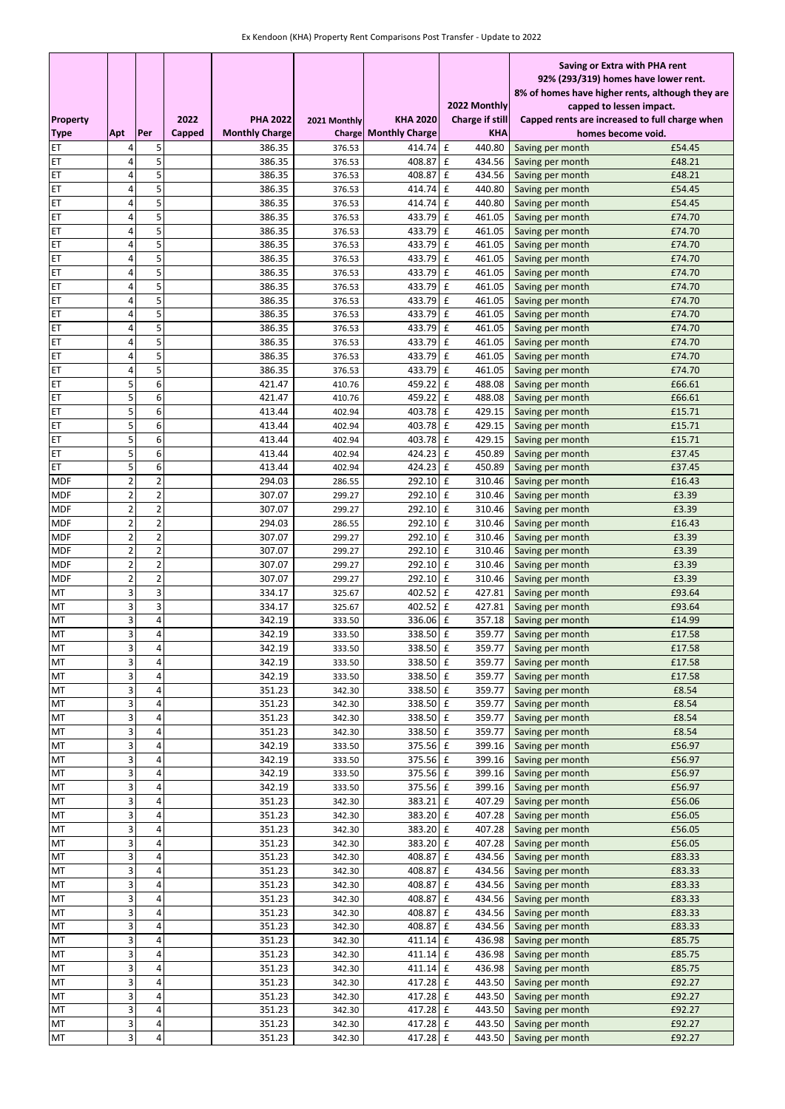|                          |                         |                         |        |                       |                  |                       |                                                | Saving or Extra with PHA rent                                                |  |  |
|--------------------------|-------------------------|-------------------------|--------|-----------------------|------------------|-----------------------|------------------------------------------------|------------------------------------------------------------------------------|--|--|
|                          |                         |                         |        |                       |                  |                       |                                                | 92% (293/319) homes have lower rent.                                         |  |  |
|                          |                         |                         |        |                       |                  |                       | 2022 Monthly                                   | 8% of homes have higher rents, although they are<br>capped to lessen impact. |  |  |
| <b>Property</b>          |                         |                         | 2022   | <b>PHA 2022</b>       | 2021 Monthly     | <b>KHA 2020</b>       | Charge if still                                | Capped rents are increased to full charge when                               |  |  |
| <b>Type</b>              | Apt                     | Per                     | Capped | <b>Monthly Charge</b> | <b>Charge</b>    | <b>Monthly Charge</b> | <b>KHA</b>                                     | homes become void.                                                           |  |  |
| ET                       | 4                       | 5                       |        | 386.35                | 376.53           | 414.74 £              | 440.80                                         | £54.45<br>Saving per month                                                   |  |  |
| ET                       | 4                       | 5                       |        | 386.35                | 376.53           | 408.87                | $\mathbf f$<br>434.56                          | £48.21<br>Saving per month                                                   |  |  |
| ET                       | 4                       | 5                       |        | 386.35                | 376.53           | 408.87                | £<br>434.56                                    | £48.21<br>Saving per month                                                   |  |  |
| ET                       | 4                       | 5                       |        | 386.35                | 376.53           | 414.74                | 440.80<br>£                                    | Saving per month<br>£54.45                                                   |  |  |
| ET                       | 4                       | 5                       |        | 386.35                | 376.53           | 414.74                | 440.80<br>£                                    | £54.45<br>Saving per month                                                   |  |  |
| ET                       | 4                       | 5                       |        | 386.35                | 376.53           | 433.79                | £<br>461.05                                    | £74.70<br>Saving per month                                                   |  |  |
| ET                       | 4                       | 5                       |        | 386.35                | 376.53           | 433.79                | $\mathbf f$<br>461.05                          | £74.70<br>Saving per month                                                   |  |  |
| ET                       | 4                       | 5                       |        | 386.35                | 376.53           | 433.79                | £<br>461.05                                    | £74.70<br>Saving per month                                                   |  |  |
| ET                       | 4                       | 5                       |        | 386.35                | 376.53           | 433.79                | $\mathbf f$<br>461.05                          | £74.70<br>Saving per month                                                   |  |  |
| ET<br>ET                 | 4<br>$\overline{4}$     | 5<br>5                  |        | 386.35<br>386.35      | 376.53<br>376.53 | 433.79<br>433.79      | £<br>461.05<br>$\mathbf f$<br>461.05           | £74.70<br>Saving per month<br>£74.70                                         |  |  |
| ET                       | 4                       | 5                       |        | 386.35                | 376.53           | 433.79                | £<br>461.05                                    | Saving per month<br>£74.70<br>Saving per month                               |  |  |
| ET                       | 4                       | 5                       |        | 386.35                | 376.53           | 433.79                | $\mathbf f$<br>461.05                          | £74.70<br>Saving per month                                                   |  |  |
| ET                       | 4                       | 5                       |        | 386.35                | 376.53           | 433.79                | $\mathbf f$<br>461.05                          | £74.70<br>Saving per month                                                   |  |  |
| ET                       | 4                       | 5                       |        | 386.35                | 376.53           | 433.79 £              | 461.05                                         | £74.70<br>Saving per month                                                   |  |  |
| ET                       | 4                       | 5                       |        | 386.35                | 376.53           | 433.79                | £<br>461.05                                    | £74.70<br>Saving per month                                                   |  |  |
| ET                       | 4                       | 5                       |        | 386.35                | 376.53           | 433.79                | $\mathbf f$<br>461.05                          | £74.70<br>Saving per month                                                   |  |  |
| ET                       | 5                       | 6                       |        | 421.47                | 410.76           | 459.22                | £<br>488.08                                    | £66.61<br>Saving per month                                                   |  |  |
| ET                       | 5                       | 6                       |        | 421.47                | 410.76           | 459.22                | $\mathbf f$<br>488.08                          | £66.61<br>Saving per month                                                   |  |  |
| ET                       | 5                       | 6                       |        | 413.44                | 402.94           | 403.78                | $\mathbf f$<br>429.15                          | £15.71<br>Saving per month                                                   |  |  |
| ET                       | 5                       | 6                       |        | 413.44                | 402.94           | 403.78                | $\mathbf f$<br>429.15                          | £15.71<br>Saving per month                                                   |  |  |
| ET                       | 5                       | 6                       |        | 413.44                | 402.94           | 403.78                | $\mathbf f$<br>429.15                          | £15.71<br>Saving per month                                                   |  |  |
| ET                       | 5                       | 6                       |        | 413.44                | 402.94           | 424.23                | $\mathbf f$<br>450.89                          | £37.45<br>Saving per month                                                   |  |  |
| ET                       | 5<br>$\overline{2}$     | 6<br>$\overline{2}$     |        | 413.44<br>294.03      | 402.94           | 424.23<br>292.10      | $\mathbf f$<br>450.89<br>$\mathbf f$<br>310.46 | £37.45<br>Saving per month<br>£16.43                                         |  |  |
| <b>MDF</b><br><b>MDF</b> | 2                       | $\overline{\mathbf{c}}$ |        | 307.07                | 286.55<br>299.27 | 292.10 £              | 310.46                                         | Saving per month<br>£3.39<br>Saving per month                                |  |  |
| <b>MDF</b>               | 2                       | $\overline{\mathbf{c}}$ |        | 307.07                | 299.27           | 292.10                | £<br>310.46                                    | £3.39<br>Saving per month                                                    |  |  |
| <b>MDF</b>               | $\overline{2}$          | $\overline{2}$          |        | 294.03                | 286.55           | 292.10                | £<br>310.46                                    | £16.43<br>Saving per month                                                   |  |  |
| <b>MDF</b>               | $\overline{2}$          | $\overline{2}$          |        | 307.07                | 299.27           | 292.10                | $\mathbf f$<br>310.46                          | £3.39<br>Saving per month                                                    |  |  |
| <b>MDF</b>               | 2                       | $\overline{\mathbf{c}}$ |        | 307.07                | 299.27           | 292.10                | $\mathbf f$<br>310.46                          | £3.39<br>Saving per month                                                    |  |  |
| <b>MDF</b>               | 2                       | $\overline{\mathbf{c}}$ |        | 307.07                | 299.27           | 292.10                | £<br>310.46                                    | £3.39<br>Saving per month                                                    |  |  |
| <b>MDF</b>               | $\overline{2}$          | $\overline{c}$          |        | 307.07                | 299.27           | 292.10 £              | 310.46                                         | £3.39<br>Saving per month                                                    |  |  |
| MT                       | 3                       | 3                       |        | 334.17                | 325.67           | 402.52                | £<br>427.81                                    | £93.64<br>Saving per month                                                   |  |  |
| MT                       | 3                       | 3                       |        | 334.17                | 325.67           | 402.52                | £<br>427.81                                    | £93.64<br>Saving per month                                                   |  |  |
| МT                       | 3                       | 4                       |        | 342.19                | 333.50           | 336.06                | $\mathbf f$<br>357.18                          | £14.99<br>Saving per month                                                   |  |  |
| MT                       | 3                       | 4                       |        | 342.19                | 333.50           | 338.50<br>$338.50$ £  | $\mathbf f$<br>359.77                          | £17.58<br>Saving per month                                                   |  |  |
| MT<br>MT                 | 3<br>3                  | 4                       |        | 342.19<br>342.19      | 333.50<br>333.50 | 338.50 £              | 359.77                                         | 359.77 Saving per month<br>£17.58<br>Saving per month<br>£17.58              |  |  |
| MT                       | 3                       | 4                       |        | 342.19                | 333.50           | 338.50 £              | 359.77                                         | Saving per month<br>£17.58                                                   |  |  |
| МT                       | 3                       | 4                       |        | 351.23                | 342.30           | 338.50 £              | 359.77                                         | £8.54<br>Saving per month                                                    |  |  |
| MT                       | 3                       | 4                       |        | 351.23                | 342.30           | 338.50 £              | 359.77                                         | £8.54<br>Saving per month                                                    |  |  |
| MT                       | 3                       | 4                       |        | 351.23                | 342.30           | 338.50 £              | 359.77                                         | £8.54<br>Saving per month                                                    |  |  |
| MT                       | 3                       | 4                       |        | 351.23                | 342.30           | 338.50 £              | 359.77                                         | £8.54<br>Saving per month                                                    |  |  |
| MT                       | $\overline{\mathbf{3}}$ | 4                       |        | 342.19                | 333.50           | 375.56 £              | 399.16                                         | £56.97<br>Saving per month                                                   |  |  |
| MT                       | 3                       | 4                       |        | 342.19                | 333.50           | 375.56 £              | 399.16                                         | £56.97<br>Saving per month                                                   |  |  |
| MT                       | 3                       | 4                       |        | 342.19                | 333.50           | 375.56 £              | 399.16                                         | Saving per month<br>£56.97                                                   |  |  |
| MT                       | 3                       | 4                       |        | 342.19                | 333.50           | 375.56 £              | 399.16                                         | £56.97<br>Saving per month                                                   |  |  |
| MT                       | 3<br>3                  | 4<br>4                  |        | 351.23<br>351.23      | 342.30           | 383.21 £<br>383.20 £  | 407.29                                         | £56.06<br>Saving per month                                                   |  |  |
| MT                       | 3                       | 4                       |        | 351.23                | 342.30           | 383.20 £              | 407.28<br>407.28                               | £56.05<br>Saving per month<br>£56.05                                         |  |  |
| MT<br>MT                 | 3                       | 4                       |        | 351.23                | 342.30<br>342.30 | 383.20 £              | 407.28                                         | Saving per month<br>£56.05<br>Saving per month                               |  |  |
| MT                       | 3                       | 4                       |        | 351.23                | 342.30           | 408.87                | 434.56<br>£                                    | Saving per month<br>£83.33                                                   |  |  |
| MT                       | 3                       | 4                       |        | 351.23                | 342.30           | 408.87                | $\mathbf f$<br>434.56                          | £83.33<br>Saving per month                                                   |  |  |
| МT                       | 3                       | 4                       |        | 351.23                | 342.30           | 408.87                | 434.56<br>£                                    | £83.33<br>Saving per month                                                   |  |  |
| MT                       | 3                       | 4                       |        | 351.23                | 342.30           | 408.87                | $\mathbf f$<br>434.56                          | £83.33<br>Saving per month                                                   |  |  |
| MT                       | 3                       | 4                       |        | 351.23                | 342.30           | 408.87                | 434.56<br>£                                    | Saving per month<br>£83.33                                                   |  |  |
| MT                       | 3                       | 4                       |        | 351.23                | 342.30           | 408.87                | $\mathbf f$<br>434.56                          | £83.33<br>Saving per month                                                   |  |  |
| MT                       | 3                       | 4                       |        | 351.23                | 342.30           | 411.14                | 436.98<br>$\mathbf f$                          | £85.75<br>Saving per month                                                   |  |  |
| MT                       | 3                       | 4                       |        | 351.23                | 342.30           | 411.14 £              | 436.98                                         | £85.75<br>Saving per month                                                   |  |  |
| MT                       | 3                       | 4                       |        | 351.23                | 342.30           | 411.14 £              | 436.98                                         | £85.75<br>Saving per month                                                   |  |  |
| MT                       | 3                       | 4                       |        | 351.23                | 342.30           | 417.28 £              | 443.50                                         | £92.27<br>Saving per month                                                   |  |  |
| MT                       | 3                       | 4                       |        | 351.23                | 342.30           | 417.28 £              | 443.50                                         | £92.27<br>Saving per month                                                   |  |  |
| MT                       | 3<br>3                  | 4<br>4                  |        | 351.23                | 342.30           | 417.28 £<br>417.28 £  | 443.50                                         | £92.27<br>Saving per month<br>£92.27                                         |  |  |
| MT<br>MT                 | 3                       | 4                       |        | 351.23<br>351.23      | 342.30<br>342.30 | 417.28 £              | 443.50<br>443.50                               | Saving per month<br>Saving per month<br>£92.27                               |  |  |
|                          |                         |                         |        |                       |                  |                       |                                                |                                                                              |  |  |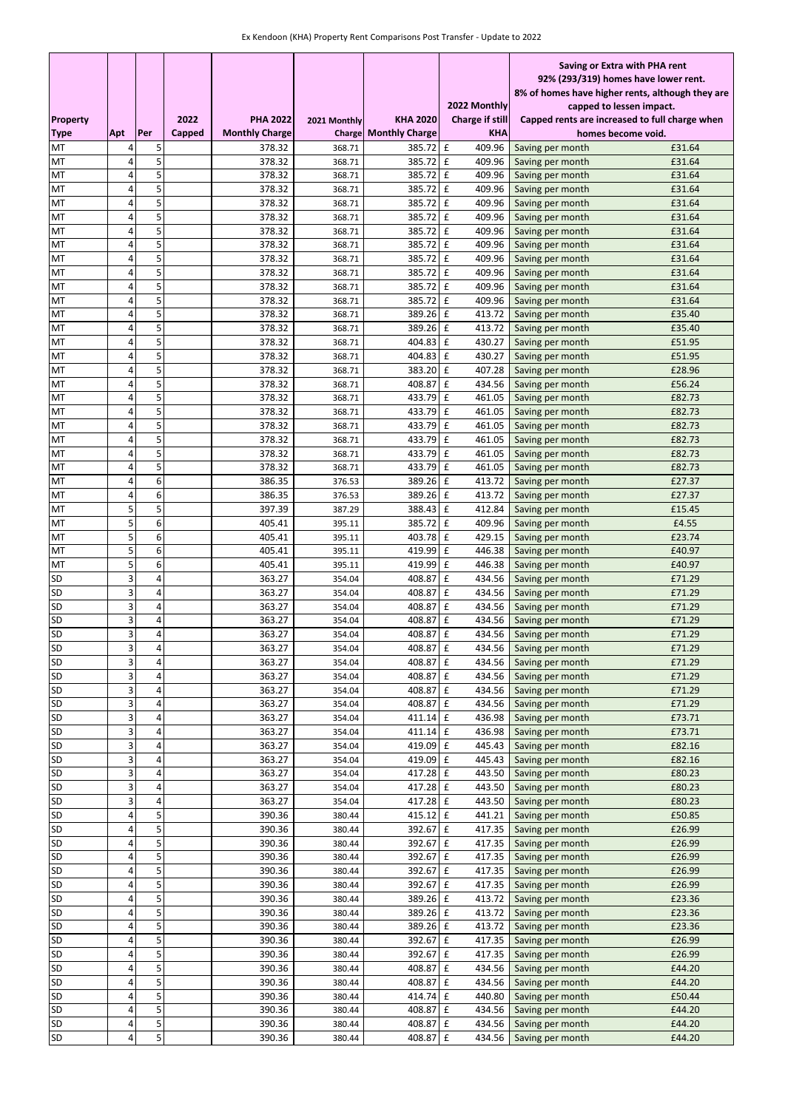|                        |        |        |        |                       |                  |                       |                        | Saving or Extra with PHA rent                    |
|------------------------|--------|--------|--------|-----------------------|------------------|-----------------------|------------------------|--------------------------------------------------|
|                        |        |        |        |                       |                  |                       |                        | 92% (293/319) homes have lower rent.             |
|                        |        |        |        |                       |                  |                       |                        | 8% of homes have higher rents, although they are |
|                        |        |        |        |                       |                  |                       | 2022 Monthly           | capped to lessen impact.                         |
| <b>Property</b>        |        |        | 2022   | <b>PHA 2022</b>       | 2021 Monthly     | <b>KHA 2020</b>       | <b>Charge if still</b> | Capped rents are increased to full charge when   |
| <b>Type</b>            | Apt    | Per    | Capped | <b>Monthly Charge</b> | Charge           | <b>Monthly Charge</b> | <b>KHA</b>             | homes become void.                               |
| МT                     | 4      | 5      |        | 378.32                | 368.71           | 385.72 £              | 409.96                 | £31.64<br>Saving per month                       |
| МT                     | 4      | 5      |        | 378.32                | 368.71           | 385.72 £              | 409.96                 | £31.64<br>Saving per month                       |
| MT                     | 4      | 5      |        | 378.32                | 368.71           | 385.72 £              | 409.96                 | £31.64<br>Saving per month                       |
| MT                     | 4      | 5      |        | 378.32                | 368.71           | 385.72                | 409.96<br>$\mathbf f$  | £31.64<br>Saving per month                       |
| MT                     | 4      | 5      |        | 378.32                | 368.71           | 385.72 £              | 409.96                 | £31.64<br>Saving per month                       |
| MT                     | 4      | 5      |        | 378.32                | 368.71           | 385.72                | $\mathbf f$<br>409.96  | £31.64<br>Saving per month                       |
| MT                     | 4      | 5      |        | 378.32                | 368.71           | 385.72                | $\mathbf f$<br>409.96  | £31.64<br>Saving per month                       |
| MT                     | 4      | 5      |        | 378.32                | 368.71           | 385.72                | $\mathbf f$<br>409.96  | £31.64<br>Saving per month                       |
| MT                     | 4      | 5      |        | 378.32                | 368.71           | 385.72                | $\mathbf f$<br>409.96  | £31.64<br>Saving per month                       |
| MT                     | 4      | 5      |        | 378.32                | 368.71           | 385.72                | $\mathbf f$<br>409.96  | Saving per month<br>£31.64                       |
| MT                     | 4      | 5      |        | 378.32                | 368.71           | 385.72                | $\mathbf f$<br>409.96  | £31.64<br>Saving per month                       |
| MT                     | 4      | 5      |        | 378.32                | 368.71           | 385.72                | £<br>409.96            | Saving per month<br>£31.64                       |
| MT                     | 4      | 5      |        | 378.32                | 368.71           | 389.26                | $\mathbf f$<br>413.72  | £35.40<br>Saving per month                       |
| MT                     | 4      | 5      |        | 378.32                | 368.71           | 389.26                | £<br>413.72            | £35.40<br>Saving per month                       |
| MT                     | 4      | 5      |        | 378.32                | 368.71           | 404.83 £              | 430.27                 | £51.95<br>Saving per month                       |
| MT                     | 4      | 5      |        | 378.32                | 368.71           | 404.83                | $\mathbf f$<br>430.27  | £51.95<br>Saving per month                       |
| MT                     | 4      | 5      |        | 378.32                | 368.71           | 383.20                | $\mathbf f$<br>407.28  | £28.96<br>Saving per month                       |
| MT                     | 4      | 5      |        | 378.32                | 368.71           | 408.87                | £<br>434.56            | £56.24<br>Saving per month                       |
| MT                     | 4      | 5      |        | 378.32                | 368.71           | 433.79 £              | 461.05                 | £82.73<br>Saving per month                       |
| MT                     | 4      | 5      |        | 378.32                | 368.71           | 433.79                | $\mathbf f$<br>461.05  | £82.73<br>Saving per month                       |
| MT                     | 4      | 5      |        | 378.32                | 368.71           | 433.79 £              | 461.05                 | £82.73<br>Saving per month                       |
| MT                     | 4      | 5      |        | 378.32                | 368.71           | 433.79                | $\mathbf f$<br>461.05  | £82.73<br>Saving per month                       |
| MT                     | 4      | 5      |        | 378.32                | 368.71           | 433.79                | $\mathbf{f}$<br>461.05 | £82.73<br>Saving per month                       |
| MT                     | 4      | 5      |        | 378.32                | 368.71           | 433.79                | $\mathbf f$<br>461.05  | £82.73<br>Saving per month                       |
| MT                     | 4      | 6      |        | 386.35                | 376.53           | 389.26 £              | 413.72                 | £27.37<br>Saving per month                       |
| МT                     | 4      | 6      |        | 386.35                | 376.53           | 389.26 £              | 413.72                 | £27.37<br>Saving per month                       |
| MT                     | 5      | 5      |        | 397.39                | 387.29           | 388.43 £              | 412.84                 | £15.45<br>Saving per month                       |
| MT                     | 5      | 6      |        | 405.41                | 395.11           | 385.72 £              | 409.96                 | £4.55<br>Saving per month                        |
| MT                     | 5      | 6      |        | 405.41                | 395.11           | 403.78                | $\mathbf f$<br>429.15  | £23.74<br>Saving per month                       |
| MT                     | 5      | 6      |        | 405.41                | 395.11           | 419.99                | $\mathbf f$<br>446.38  | £40.97<br>Saving per month                       |
| MT                     | 5      | 6      |        | 405.41                | 395.11           | 419.99                | $\mathbf f$<br>446.38  | £40.97<br>Saving per month                       |
| <b>SD</b>              | 3      | 4      |        | 363.27                | 354.04           | 408.87                | £<br>434.56            | £71.29<br>Saving per month                       |
| SD                     | 3      | 4      |        | 363.27                | 354.04           | 408.87                | £<br>434.56            | Saving per month<br>£71.29                       |
| SD                     | 3      | 4      |        | 363.27                | 354.04           | 408.87                | £<br>434.56            | £71.29<br>Saving per month                       |
| SD                     | 3      | 4      |        | 363.27                | 354.04           | 408.87                | 434.56<br>£            | £71.29<br>Saving per month                       |
| SD                     | 3      | 4      |        | 363.27                | 354.04           | 408.87                | $\mathbf f$<br>434.56  | £71.29<br>Saving per month                       |
| SD                     | 3      | 4      |        | 363.27                | 354.04           | $408.87$ £            |                        | 434.56 Saving per month<br>£71.29                |
| SD                     | 3      | 4      |        | 363.27                | 354.04           | 408.87                | $\mathbf f$<br>434.56  | £71.29<br>Saving per month                       |
| <b>SD</b>              | 3      | 4      |        | 363.27                | 354.04           | 408.87                | 434.56<br>£            | Saving per month<br>£71.29                       |
| <b>SD</b>              | 3      | 4      |        | 363.27                | 354.04           | 408.87 £              | 434.56                 | £71.29<br>Saving per month                       |
| <b>SD</b>              | 3      | 4      |        | 363.27                | 354.04           | 408.87                | 434.56<br>$\mathbf f$  | £71.29<br>Saving per month                       |
| <b>SD</b>              | 3      | 4      |        | 363.27                | 354.04           | 411.14 £              | 436.98                 | £73.71<br>Saving per month                       |
| <b>SD</b>              | 3      | 4      |        | 363.27                | 354.04           | 411.14 £              | 436.98                 | £73.71<br>Saving per month                       |
| <b>SD</b><br>SD        | 3<br>3 | 4<br>4 |        | 363.27                | 354.04           | 419.09 £              | 445.43                 | £82.16<br>Saving per month<br>£82.16             |
|                        |        |        |        | 363.27                | 354.04           | 419.09 £<br>417.28 £  | 445.43                 | Saving per month<br>£80.23                       |
| <b>SD</b>              | 3      | 4<br>4 |        | 363.27                | 354.04           | 417.28 £              | 443.50                 | Saving per month<br>£80.23                       |
| SD                     | 3<br>3 | 4      |        | 363.27                | 354.04           |                       | 443.50                 | Saving per month                                 |
| <b>SD</b><br><b>SD</b> | 4      | 5      |        | 363.27<br>390.36      | 354.04           | 417.28 £<br>415.12 f  | 443.50<br>441.21       | £80.23<br>Saving per month<br>£50.85             |
| <b>SD</b>              | 4      | 5      |        | 390.36                | 380.44<br>380.44 | 392.67 £              | 417.35                 | Saving per month<br>£26.99<br>Saving per month   |
| <b>SD</b>              |        | 5      |        |                       |                  | 392.67 £              | 417.35                 | £26.99                                           |
| <b>SD</b>              | 4<br>4 | 5      |        | 390.36<br>390.36      | 380.44<br>380.44 | 392.67 £              | 417.35                 | Saving per month<br>£26.99<br>Saving per month   |
| <b>SD</b>              | 4      | 5      |        | 390.36                | 380.44           | 392.67 £              | 417.35                 | £26.99                                           |
| SD                     | 4      | 5      |        | 390.36                | 380.44           | 392.67 £              | 417.35                 | Saving per month<br>£26.99<br>Saving per month   |
| <b>SD</b>              | 4      | 5      |        | 390.36                | 380.44           | 389.26 £              | 413.72                 | £23.36<br>Saving per month                       |
| <b>SD</b>              | 4      | 5      |        | 390.36                | 380.44           | 389.26 £              | 413.72                 | Saving per month<br>£23.36                       |
| SD                     | 4      | 5      |        | 390.36                | 380.44           | 389.26 £              | 413.72                 | £23.36<br>Saving per month                       |
| SD                     | 4      | 5      |        | 390.36                | 380.44           | 392.67 £              | 417.35                 | £26.99<br>Saving per month                       |
| SD                     | 4      | 5      |        | 390.36                | 380.44           | 392.67 £              | 417.35                 | £26.99<br>Saving per month                       |
| <b>SD</b>              | 4      | 5      |        | 390.36                | 380.44           | 408.87                | £<br>434.56            | £44.20<br>Saving per month                       |
| <b>SD</b>              | 4      | 5      |        | 390.36                | 380.44           | 408.87                | £<br>434.56            | £44.20<br>Saving per month                       |
| <b>SD</b>              | 4      | 5      |        | 390.36                | 380.44           | 414.74 £              | 440.80                 | £50.44<br>Saving per month                       |
| <b>SD</b>              | 4      | 5      |        | 390.36                | 380.44           | 408.87                | $\mathbf f$<br>434.56  | £44.20<br>Saving per month                       |
| <b>SD</b>              | 4      | 5      |        | 390.36                | 380.44           | 408.87                | $\mathbf f$<br>434.56  | £44.20<br>Saving per month                       |
| <b>SD</b>              | 4      | 5      |        | 390.36                | 380.44           | 408.87 £              | 434.56                 | £44.20<br>Saving per month                       |
|                        |        |        |        |                       |                  |                       |                        |                                                  |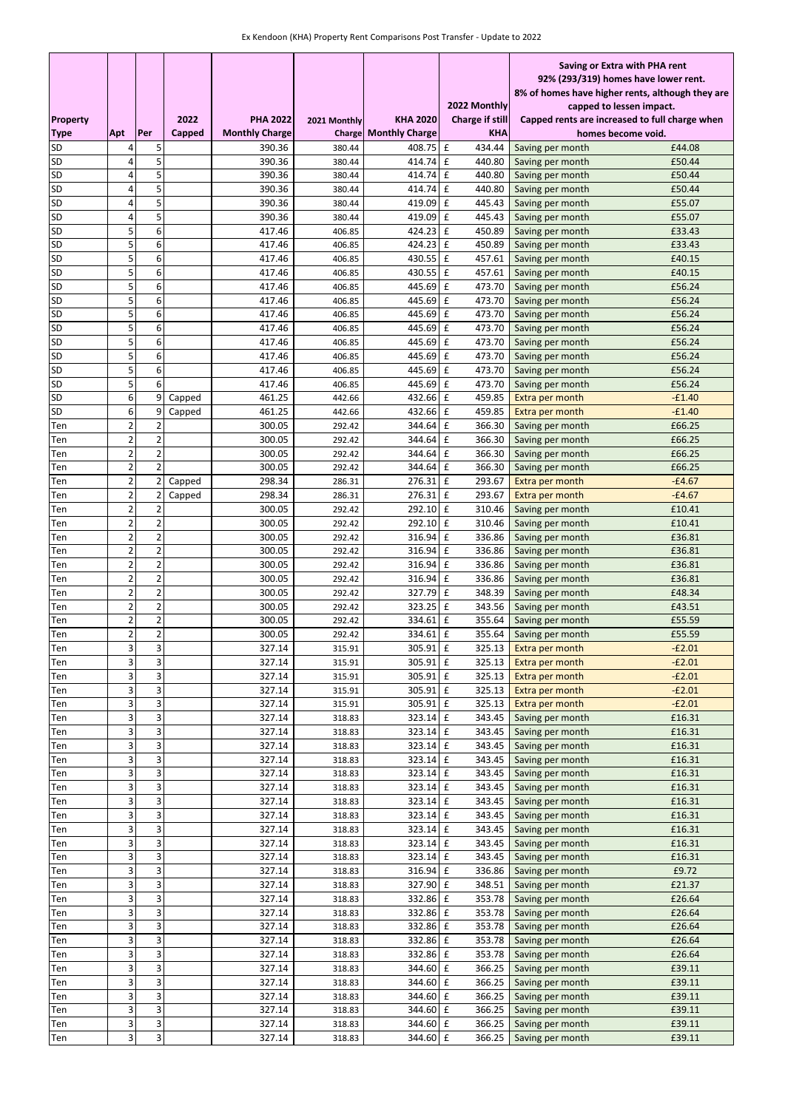| 92% (293/319) homes have lower rent.<br>8% of homes have higher rents, although they are<br>2022 Monthly<br>capped to lessen impact.<br>2022<br><b>PHA 2022</b><br><b>KHA 2020</b><br><b>Charge if still</b><br><b>Property</b><br>Capped rents are increased to full charge when<br>2021 Monthly<br>Apt<br>Per<br>Capped<br><b>Monthly Charge</b><br><b>Monthly Charge</b><br><b>Type</b><br><b>KHA</b><br>Charge<br>homes become void.<br><b>SD</b><br>5<br>$\mathbf f$<br>434.44<br>£44.08<br>390.36<br>380.44<br>408.75<br>4<br>Saving per month<br>5<br>4<br>414.74 £<br>£50.44<br>SD<br>390.36<br>380.44<br>440.80<br>Saving per month<br>5<br><b>SD</b><br>4<br>$\mathbf f$<br>440.80<br>£50.44<br>390.36<br>414.74<br>Saving per month<br>380.44<br>4<br>5<br>SD<br>390.36<br>£50.44<br>414.74<br>£<br>440.80<br>380.44<br>Saving per month<br>5<br>SD<br>4<br>£55.07<br>390.36<br>419.09<br>$\mathbf f$<br>445.43<br>380.44<br>Saving per month<br>5<br>4<br>SD<br>$\mathbf f$<br>£55.07<br>390.36<br>419.09<br>445.43<br>Saving per month<br>380.44<br>5<br>6<br>SD<br>424.23<br>$\mathbf f$<br>£33.43<br>417.46<br>406.85<br>450.89<br>Saving per month<br>5<br>6<br>SD<br>417.46<br>424.23<br>$\mathbf f$<br>450.89<br>£33.43<br>406.85<br>Saving per month<br>5<br>6<br><b>SD</b><br>417.46<br>430.55<br>£<br>457.61<br>£40.15<br>406.85<br>Saving per month<br>5<br>6<br>SD<br>$\mathbf f$<br>417.46<br>430.55<br>457.61<br>£40.15<br>406.85<br>Saving per month<br>5<br>6<br><b>SD</b><br>445.69 £<br>£56.24<br>417.46<br>406.85<br>473.70<br>Saving per month<br>5<br>6<br>SD<br>445.69<br>$\mathbf f$<br>417.46<br>406.85<br>473.70<br>Saving per month<br>£56.24<br>5<br>SD<br>6<br>417.46<br>445.69<br>$\mathbf f$<br>473.70<br>£56.24<br>406.85<br>Saving per month<br>5<br>SD<br>6<br>445.69<br>417.46<br>£<br>473.70<br>£56.24<br>406.85<br>Saving per month<br>5<br>6<br>£56.24<br>SD<br>445.69<br>Ι£<br>473.70<br>417.46<br>406.85<br>Saving per month<br>5<br>6<br>SD<br>417.46<br>445.69<br>$\mathbf f$<br>£56.24<br>406.85<br>473.70<br>Saving per month<br>5<br>6<br>SD<br>417.46<br>445.69<br>$\mathbf f$<br>473.70<br>£56.24<br>406.85<br>Saving per month<br>5<br>6<br>SD<br>445.69<br>$\mathbf f$<br>473.70<br>£56.24<br>417.46<br>406.85<br>Saving per month<br>6<br><b>SD</b><br>9<br>461.25<br>432.66<br>$\mathbf f$<br>459.85<br>$-£1.40$<br>Capped<br>442.66<br><b>Extra per month</b><br>6<br>SD<br>9<br>461.25<br>432.66<br>$\mathbf f$<br>459.85<br>$-£1.40$<br>Capped<br>442.66<br>Extra per month<br>$\overline{2}$<br>$\overline{2}$<br>300.05<br>344.64<br>Ι£<br>366.30<br>£66.25<br>292.42<br>Saving per month<br>Ten<br>$\overline{\mathbf{c}}$<br>$\overline{\mathbf{c}}$<br>300.05<br>344.64<br>$\mathbf f$<br>366.30<br>£66.25<br>292.42<br>Ten<br>Saving per month<br>$\overline{\mathbf{c}}$<br>$\overline{2}$<br>£66.25<br>344.64<br>$\mathbf f$<br>300.05<br>366.30<br>Saving per month<br>Ten<br>292.42<br>$\overline{2}$<br>$\overline{2}$<br>£66.25<br>344.64<br>$\mathbf f$<br>366.30<br>300.05<br>292.42<br>Saving per month<br>Ten<br>$\overline{\mathbf{c}}$<br>2<br>298.34<br>276.31<br>$\mathbf f$<br>293.67<br>$-£4.67$<br>Ten<br>Capped<br>286.31<br>Extra per month<br>$\overline{2}$<br>$\overline{\mathbf{c}}$<br>298.34<br>276.31<br>$\mathbf f$<br>293.67<br>$-£4.67$<br>286.31<br>Ten<br>Capped<br>Extra per month<br>$\overline{2}$<br>$\overline{2}$<br>292.10 £<br>£10.41<br>300.05<br>310.46<br>292.42<br>Saving per month<br>Ten<br>$\overline{2}$<br>$\overline{2}$<br>£10.41<br>300.05<br>292.10 £<br>310.46<br>292.42<br>Ten<br>Saving per month<br>$\overline{c}$<br>$\overline{2}$<br>£<br>300.05<br>316.94<br>336.86<br>£36.81<br>292.42<br>Saving per month<br>Ten<br>$\overline{c}$<br>$\overline{2}$<br>300.05<br>316.94<br>$\mathbf f$<br>336.86<br>£36.81<br>292.42<br>Saving per month<br>Ten<br>$\overline{c}$<br>$\overline{2}$<br>316.94 £<br>336.86<br>£36.81<br>300.05<br>292.42<br>Saving per month<br>Ten<br>$\overline{2}$<br>$\overline{c}$<br>316.94<br>$\mathbf f$<br>£36.81<br>300.05<br>292.42<br>336.86<br>Ten<br>Saving per month<br>$\overline{2}$<br>$\overline{2}$<br>327.79<br>$\mathbf f$<br>348.39<br>300.05<br>292.42<br>Saving per month<br>£48.34<br>Ten<br>$\overline{\mathbf{c}}$<br>$\overline{\mathbf{c}}$<br>300.05<br>323.25<br>$\mathbf f$<br>343.56<br>292.42<br>£43.51<br>Saving per month<br>Ten<br>$\overline{2}$<br>$\overline{\mathbf{c}}$<br>300.05<br>334.61<br>£<br>355.64<br>£55.59<br>292.42<br>Saving per month<br>Ten<br>$\overline{2}$<br>$\overline{2}$<br>334.61 £<br>300.05<br>355.64<br>£55.59<br>292.42<br>Ten<br>Saving per month<br>$305.91$ £<br>3<br>3<br>325.13 Extra per month<br>Ten<br>327.14<br>315.91<br>$-E2.01$<br>3<br>3<br>327.14<br>305.91 £<br>$-E2.01$<br>315.91<br>325.13<br>Extra per month<br>Ten<br>3<br>3<br>327.14<br>305.91 £<br>$-E2.01$<br>315.91<br>325.13<br>Extra per month<br>Ten<br>3<br>3<br>$-E2.01$<br>327.14<br>305.91 £<br>325.13<br>Extra per month<br>315.91<br>Ten<br>$\overline{3}$<br>3<br>327.14<br>305.91 £<br>325.13<br>$-E2.01$<br>315.91<br>Ten<br>Extra per month<br>3<br>3<br>323.14 £<br>£16.31<br>327.14<br>343.45<br>Saving per month<br>318.83<br>Ten<br>3<br>3<br>327.14<br>323.14 £<br>343.45<br>£16.31<br>Ten<br>318.83<br>Saving per month<br>3<br>3<br>327.14<br>323.14 £<br>343.45<br>Saving per month<br>£16.31<br>318.83<br>Ten<br>3<br>3<br>£16.31<br>327.14<br>318.83<br>323.14 £<br>343.45<br>Ten<br>Saving per month<br>3<br>3<br>323.14 £<br>£16.31<br>327.14<br>343.45<br>Saving per month<br>318.83<br>Ten<br>3<br>3<br>327.14<br>323.14 £<br>343.45<br>Saving per month<br>£16.31<br>318.83<br>Ten<br>3<br>3<br>323.14 £<br>£16.31<br>327.14<br>343.45<br>Saving per month<br>Ten<br>318.83<br>$\overline{\mathbf{3}}$<br>3<br>£16.31<br>327.14<br>318.83<br>323.14 £<br>343.45<br>Saving per month<br>Ten<br>3<br>3<br>327.14<br>323.14 £<br>343.45<br>£16.31<br>318.83<br>Saving per month<br>Ten<br>3<br>3<br>£16.31<br>327.14<br>318.83<br>323.14 £<br>343.45<br>Saving per month<br>Ten<br>$\overline{\mathbf{3}}$<br>$\overline{\mathbf{3}}$<br>327.14<br>323.14 £<br>Saving per month<br>£16.31<br>318.83<br>343.45<br>Ten<br>$\overline{\mathbf{3}}$<br>3<br>£9.72<br>327.14<br>316.94 £<br>336.86<br>Ten<br>318.83<br>Saving per month<br>3<br>3<br>£21.37<br>327.14<br>327.90 £<br>348.51<br>Saving per month<br>Ten<br>318.83<br>3<br>3<br>327.14<br>332.86 £<br>353.78<br>£26.64<br>318.83<br>Saving per month<br>Ten<br>3<br>3<br>327.14<br>318.83<br>332.86 £<br>353.78<br>Saving per month<br>£26.64<br>Ten<br>3<br>3<br>327.14<br>332.86 £<br>353.78<br>£26.64<br>318.83<br>Saving per month<br>Ten<br>3<br>3<br>327.14<br>332.86 £<br>353.78<br>£26.64<br>318.83<br>Saving per month<br>Ten<br>3<br>3<br>327.14<br>318.83<br>332.86 £<br>353.78<br>£26.64<br>Saving per month<br>Ten<br>3<br>3<br>327.14<br>344.60 £<br>366.25<br>£39.11<br>318.83<br>Saving per month<br>Ten<br>3<br>3<br>327.14<br>344.60 £<br>366.25<br>£39.11<br>318.83<br>Saving per month<br>Ten<br>3<br>3<br>327.14<br>318.83<br>344.60 £<br>366.25<br>£39.11<br>Saving per month<br>Ten<br>3<br>3<br>£39.11<br>327.14<br>344.60 £<br>366.25<br>Saving per month<br>318.83<br>Ten<br>3<br>3<br>327.14<br>344.60 £<br>366.25<br>£39.11<br>Ten<br>318.83<br>Saving per month<br>3<br>3<br>344.60 £<br>366.25<br>£39.11<br>327.14<br>Saving per month<br>Ten<br>318.83 |  |  |  |  | Saving or Extra with PHA rent |  |  |
|--------------------------------------------------------------------------------------------------------------------------------------------------------------------------------------------------------------------------------------------------------------------------------------------------------------------------------------------------------------------------------------------------------------------------------------------------------------------------------------------------------------------------------------------------------------------------------------------------------------------------------------------------------------------------------------------------------------------------------------------------------------------------------------------------------------------------------------------------------------------------------------------------------------------------------------------------------------------------------------------------------------------------------------------------------------------------------------------------------------------------------------------------------------------------------------------------------------------------------------------------------------------------------------------------------------------------------------------------------------------------------------------------------------------------------------------------------------------------------------------------------------------------------------------------------------------------------------------------------------------------------------------------------------------------------------------------------------------------------------------------------------------------------------------------------------------------------------------------------------------------------------------------------------------------------------------------------------------------------------------------------------------------------------------------------------------------------------------------------------------------------------------------------------------------------------------------------------------------------------------------------------------------------------------------------------------------------------------------------------------------------------------------------------------------------------------------------------------------------------------------------------------------------------------------------------------------------------------------------------------------------------------------------------------------------------------------------------------------------------------------------------------------------------------------------------------------------------------------------------------------------------------------------------------------------------------------------------------------------------------------------------------------------------------------------------------------------------------------------------------------------------------------------------------------------------------------------------------------------------------------------------------------------------------------------------------------------------------------------------------------------------------------------------------------------------------------------------------------------------------------------------------------------------------------------------------------------------------------------------------------------------------------------------------------------------------------------------------------------------------------------------------------------------------------------------------------------------------------------------------------------------------------------------------------------------------------------------------------------------------------------------------------------------------------------------------------------------------------------------------------------------------------------------------------------------------------------------------------------------------------------------------------------------------------------------------------------------------------------------------------------------------------------------------------------------------------------------------------------------------------------------------------------------------------------------------------------------------------------------------------------------------------------------------------------------------------------------------------------------------------------------------------------------------------------------------------------------------------------------------------------------------------------------------------------------------------------------------------------------------------------------------------------------------------------------------------------------------------------------------------------------------------------------------------------------------------------------------------------------------------------------------------------------------------------------------------------------------------------------------------------------------------------------------------------------------------------------------------------------------------------------------------------------------------------------------------------------------------------------------------------------------------------------------------------------------------------------------------------------------------------------------------------------------------------------------------------------------------------------------------------------------------------------------------------------------------------------------------------------------------------------------------------------------------------------------------------------------------------------------------------------------------------------------------------------------------------------------------------------------------------------------------------------------------------------------------------------------------------------------------------------------------------------------------------------------------------------------------------------------------------------------------------------------------------------------------------------------------------------------------------------------------------------------------------------------------------------------------------------------------------------------------------------------------------------------------------------------------------------------------------------------------------------------------------------------------------------------------------------------------------------------------------------------------------------------------------------------------------------------------------------------------------------------------------------------------------------------------------------------------------------------------------------------------------------------------------------------------------------------------------------------------------------------------------------------------------------------------|--|--|--|--|-------------------------------|--|--|
|                                                                                                                                                                                                                                                                                                                                                                                                                                                                                                                                                                                                                                                                                                                                                                                                                                                                                                                                                                                                                                                                                                                                                                                                                                                                                                                                                                                                                                                                                                                                                                                                                                                                                                                                                                                                                                                                                                                                                                                                                                                                                                                                                                                                                                                                                                                                                                                                                                                                                                                                                                                                                                                                                                                                                                                                                                                                                                                                                                                                                                                                                                                                                                                                                                                                                                                                                                                                                                                                                                                                                                                                                                                                                                                                                                                                                                                                                                                                                                                                                                                                                                                                                                                                                                                                                                                                                                                                                                                                                                                                                                                                                                                                                                                                                                                                                                                                                                                                                                                                                                                                                                                                                                                                                                                                                                                                                                                                                                                                                                                                                                                                                                                                                                                                                                                                                                                                                                                                                                                                                                                                                                                                                                                                                                                                                                                                                                                                                                                                                                                                                                                                                                                                                                                                                                                                                                                                                                                                                                                                                                                                                                                                                                                                                                                                                                                                                                                                                                                                          |  |  |  |  |                               |  |  |
|                                                                                                                                                                                                                                                                                                                                                                                                                                                                                                                                                                                                                                                                                                                                                                                                                                                                                                                                                                                                                                                                                                                                                                                                                                                                                                                                                                                                                                                                                                                                                                                                                                                                                                                                                                                                                                                                                                                                                                                                                                                                                                                                                                                                                                                                                                                                                                                                                                                                                                                                                                                                                                                                                                                                                                                                                                                                                                                                                                                                                                                                                                                                                                                                                                                                                                                                                                                                                                                                                                                                                                                                                                                                                                                                                                                                                                                                                                                                                                                                                                                                                                                                                                                                                                                                                                                                                                                                                                                                                                                                                                                                                                                                                                                                                                                                                                                                                                                                                                                                                                                                                                                                                                                                                                                                                                                                                                                                                                                                                                                                                                                                                                                                                                                                                                                                                                                                                                                                                                                                                                                                                                                                                                                                                                                                                                                                                                                                                                                                                                                                                                                                                                                                                                                                                                                                                                                                                                                                                                                                                                                                                                                                                                                                                                                                                                                                                                                                                                                                          |  |  |  |  |                               |  |  |
|                                                                                                                                                                                                                                                                                                                                                                                                                                                                                                                                                                                                                                                                                                                                                                                                                                                                                                                                                                                                                                                                                                                                                                                                                                                                                                                                                                                                                                                                                                                                                                                                                                                                                                                                                                                                                                                                                                                                                                                                                                                                                                                                                                                                                                                                                                                                                                                                                                                                                                                                                                                                                                                                                                                                                                                                                                                                                                                                                                                                                                                                                                                                                                                                                                                                                                                                                                                                                                                                                                                                                                                                                                                                                                                                                                                                                                                                                                                                                                                                                                                                                                                                                                                                                                                                                                                                                                                                                                                                                                                                                                                                                                                                                                                                                                                                                                                                                                                                                                                                                                                                                                                                                                                                                                                                                                                                                                                                                                                                                                                                                                                                                                                                                                                                                                                                                                                                                                                                                                                                                                                                                                                                                                                                                                                                                                                                                                                                                                                                                                                                                                                                                                                                                                                                                                                                                                                                                                                                                                                                                                                                                                                                                                                                                                                                                                                                                                                                                                                                          |  |  |  |  |                               |  |  |
|                                                                                                                                                                                                                                                                                                                                                                                                                                                                                                                                                                                                                                                                                                                                                                                                                                                                                                                                                                                                                                                                                                                                                                                                                                                                                                                                                                                                                                                                                                                                                                                                                                                                                                                                                                                                                                                                                                                                                                                                                                                                                                                                                                                                                                                                                                                                                                                                                                                                                                                                                                                                                                                                                                                                                                                                                                                                                                                                                                                                                                                                                                                                                                                                                                                                                                                                                                                                                                                                                                                                                                                                                                                                                                                                                                                                                                                                                                                                                                                                                                                                                                                                                                                                                                                                                                                                                                                                                                                                                                                                                                                                                                                                                                                                                                                                                                                                                                                                                                                                                                                                                                                                                                                                                                                                                                                                                                                                                                                                                                                                                                                                                                                                                                                                                                                                                                                                                                                                                                                                                                                                                                                                                                                                                                                                                                                                                                                                                                                                                                                                                                                                                                                                                                                                                                                                                                                                                                                                                                                                                                                                                                                                                                                                                                                                                                                                                                                                                                                                          |  |  |  |  |                               |  |  |
|                                                                                                                                                                                                                                                                                                                                                                                                                                                                                                                                                                                                                                                                                                                                                                                                                                                                                                                                                                                                                                                                                                                                                                                                                                                                                                                                                                                                                                                                                                                                                                                                                                                                                                                                                                                                                                                                                                                                                                                                                                                                                                                                                                                                                                                                                                                                                                                                                                                                                                                                                                                                                                                                                                                                                                                                                                                                                                                                                                                                                                                                                                                                                                                                                                                                                                                                                                                                                                                                                                                                                                                                                                                                                                                                                                                                                                                                                                                                                                                                                                                                                                                                                                                                                                                                                                                                                                                                                                                                                                                                                                                                                                                                                                                                                                                                                                                                                                                                                                                                                                                                                                                                                                                                                                                                                                                                                                                                                                                                                                                                                                                                                                                                                                                                                                                                                                                                                                                                                                                                                                                                                                                                                                                                                                                                                                                                                                                                                                                                                                                                                                                                                                                                                                                                                                                                                                                                                                                                                                                                                                                                                                                                                                                                                                                                                                                                                                                                                                                                          |  |  |  |  |                               |  |  |
|                                                                                                                                                                                                                                                                                                                                                                                                                                                                                                                                                                                                                                                                                                                                                                                                                                                                                                                                                                                                                                                                                                                                                                                                                                                                                                                                                                                                                                                                                                                                                                                                                                                                                                                                                                                                                                                                                                                                                                                                                                                                                                                                                                                                                                                                                                                                                                                                                                                                                                                                                                                                                                                                                                                                                                                                                                                                                                                                                                                                                                                                                                                                                                                                                                                                                                                                                                                                                                                                                                                                                                                                                                                                                                                                                                                                                                                                                                                                                                                                                                                                                                                                                                                                                                                                                                                                                                                                                                                                                                                                                                                                                                                                                                                                                                                                                                                                                                                                                                                                                                                                                                                                                                                                                                                                                                                                                                                                                                                                                                                                                                                                                                                                                                                                                                                                                                                                                                                                                                                                                                                                                                                                                                                                                                                                                                                                                                                                                                                                                                                                                                                                                                                                                                                                                                                                                                                                                                                                                                                                                                                                                                                                                                                                                                                                                                                                                                                                                                                                          |  |  |  |  |                               |  |  |
|                                                                                                                                                                                                                                                                                                                                                                                                                                                                                                                                                                                                                                                                                                                                                                                                                                                                                                                                                                                                                                                                                                                                                                                                                                                                                                                                                                                                                                                                                                                                                                                                                                                                                                                                                                                                                                                                                                                                                                                                                                                                                                                                                                                                                                                                                                                                                                                                                                                                                                                                                                                                                                                                                                                                                                                                                                                                                                                                                                                                                                                                                                                                                                                                                                                                                                                                                                                                                                                                                                                                                                                                                                                                                                                                                                                                                                                                                                                                                                                                                                                                                                                                                                                                                                                                                                                                                                                                                                                                                                                                                                                                                                                                                                                                                                                                                                                                                                                                                                                                                                                                                                                                                                                                                                                                                                                                                                                                                                                                                                                                                                                                                                                                                                                                                                                                                                                                                                                                                                                                                                                                                                                                                                                                                                                                                                                                                                                                                                                                                                                                                                                                                                                                                                                                                                                                                                                                                                                                                                                                                                                                                                                                                                                                                                                                                                                                                                                                                                                                          |  |  |  |  |                               |  |  |
|                                                                                                                                                                                                                                                                                                                                                                                                                                                                                                                                                                                                                                                                                                                                                                                                                                                                                                                                                                                                                                                                                                                                                                                                                                                                                                                                                                                                                                                                                                                                                                                                                                                                                                                                                                                                                                                                                                                                                                                                                                                                                                                                                                                                                                                                                                                                                                                                                                                                                                                                                                                                                                                                                                                                                                                                                                                                                                                                                                                                                                                                                                                                                                                                                                                                                                                                                                                                                                                                                                                                                                                                                                                                                                                                                                                                                                                                                                                                                                                                                                                                                                                                                                                                                                                                                                                                                                                                                                                                                                                                                                                                                                                                                                                                                                                                                                                                                                                                                                                                                                                                                                                                                                                                                                                                                                                                                                                                                                                                                                                                                                                                                                                                                                                                                                                                                                                                                                                                                                                                                                                                                                                                                                                                                                                                                                                                                                                                                                                                                                                                                                                                                                                                                                                                                                                                                                                                                                                                                                                                                                                                                                                                                                                                                                                                                                                                                                                                                                                                          |  |  |  |  |                               |  |  |
|                                                                                                                                                                                                                                                                                                                                                                                                                                                                                                                                                                                                                                                                                                                                                                                                                                                                                                                                                                                                                                                                                                                                                                                                                                                                                                                                                                                                                                                                                                                                                                                                                                                                                                                                                                                                                                                                                                                                                                                                                                                                                                                                                                                                                                                                                                                                                                                                                                                                                                                                                                                                                                                                                                                                                                                                                                                                                                                                                                                                                                                                                                                                                                                                                                                                                                                                                                                                                                                                                                                                                                                                                                                                                                                                                                                                                                                                                                                                                                                                                                                                                                                                                                                                                                                                                                                                                                                                                                                                                                                                                                                                                                                                                                                                                                                                                                                                                                                                                                                                                                                                                                                                                                                                                                                                                                                                                                                                                                                                                                                                                                                                                                                                                                                                                                                                                                                                                                                                                                                                                                                                                                                                                                                                                                                                                                                                                                                                                                                                                                                                                                                                                                                                                                                                                                                                                                                                                                                                                                                                                                                                                                                                                                                                                                                                                                                                                                                                                                                                          |  |  |  |  |                               |  |  |
|                                                                                                                                                                                                                                                                                                                                                                                                                                                                                                                                                                                                                                                                                                                                                                                                                                                                                                                                                                                                                                                                                                                                                                                                                                                                                                                                                                                                                                                                                                                                                                                                                                                                                                                                                                                                                                                                                                                                                                                                                                                                                                                                                                                                                                                                                                                                                                                                                                                                                                                                                                                                                                                                                                                                                                                                                                                                                                                                                                                                                                                                                                                                                                                                                                                                                                                                                                                                                                                                                                                                                                                                                                                                                                                                                                                                                                                                                                                                                                                                                                                                                                                                                                                                                                                                                                                                                                                                                                                                                                                                                                                                                                                                                                                                                                                                                                                                                                                                                                                                                                                                                                                                                                                                                                                                                                                                                                                                                                                                                                                                                                                                                                                                                                                                                                                                                                                                                                                                                                                                                                                                                                                                                                                                                                                                                                                                                                                                                                                                                                                                                                                                                                                                                                                                                                                                                                                                                                                                                                                                                                                                                                                                                                                                                                                                                                                                                                                                                                                                          |  |  |  |  |                               |  |  |
|                                                                                                                                                                                                                                                                                                                                                                                                                                                                                                                                                                                                                                                                                                                                                                                                                                                                                                                                                                                                                                                                                                                                                                                                                                                                                                                                                                                                                                                                                                                                                                                                                                                                                                                                                                                                                                                                                                                                                                                                                                                                                                                                                                                                                                                                                                                                                                                                                                                                                                                                                                                                                                                                                                                                                                                                                                                                                                                                                                                                                                                                                                                                                                                                                                                                                                                                                                                                                                                                                                                                                                                                                                                                                                                                                                                                                                                                                                                                                                                                                                                                                                                                                                                                                                                                                                                                                                                                                                                                                                                                                                                                                                                                                                                                                                                                                                                                                                                                                                                                                                                                                                                                                                                                                                                                                                                                                                                                                                                                                                                                                                                                                                                                                                                                                                                                                                                                                                                                                                                                                                                                                                                                                                                                                                                                                                                                                                                                                                                                                                                                                                                                                                                                                                                                                                                                                                                                                                                                                                                                                                                                                                                                                                                                                                                                                                                                                                                                                                                                          |  |  |  |  |                               |  |  |
|                                                                                                                                                                                                                                                                                                                                                                                                                                                                                                                                                                                                                                                                                                                                                                                                                                                                                                                                                                                                                                                                                                                                                                                                                                                                                                                                                                                                                                                                                                                                                                                                                                                                                                                                                                                                                                                                                                                                                                                                                                                                                                                                                                                                                                                                                                                                                                                                                                                                                                                                                                                                                                                                                                                                                                                                                                                                                                                                                                                                                                                                                                                                                                                                                                                                                                                                                                                                                                                                                                                                                                                                                                                                                                                                                                                                                                                                                                                                                                                                                                                                                                                                                                                                                                                                                                                                                                                                                                                                                                                                                                                                                                                                                                                                                                                                                                                                                                                                                                                                                                                                                                                                                                                                                                                                                                                                                                                                                                                                                                                                                                                                                                                                                                                                                                                                                                                                                                                                                                                                                                                                                                                                                                                                                                                                                                                                                                                                                                                                                                                                                                                                                                                                                                                                                                                                                                                                                                                                                                                                                                                                                                                                                                                                                                                                                                                                                                                                                                                                          |  |  |  |  |                               |  |  |
|                                                                                                                                                                                                                                                                                                                                                                                                                                                                                                                                                                                                                                                                                                                                                                                                                                                                                                                                                                                                                                                                                                                                                                                                                                                                                                                                                                                                                                                                                                                                                                                                                                                                                                                                                                                                                                                                                                                                                                                                                                                                                                                                                                                                                                                                                                                                                                                                                                                                                                                                                                                                                                                                                                                                                                                                                                                                                                                                                                                                                                                                                                                                                                                                                                                                                                                                                                                                                                                                                                                                                                                                                                                                                                                                                                                                                                                                                                                                                                                                                                                                                                                                                                                                                                                                                                                                                                                                                                                                                                                                                                                                                                                                                                                                                                                                                                                                                                                                                                                                                                                                                                                                                                                                                                                                                                                                                                                                                                                                                                                                                                                                                                                                                                                                                                                                                                                                                                                                                                                                                                                                                                                                                                                                                                                                                                                                                                                                                                                                                                                                                                                                                                                                                                                                                                                                                                                                                                                                                                                                                                                                                                                                                                                                                                                                                                                                                                                                                                                                          |  |  |  |  |                               |  |  |
|                                                                                                                                                                                                                                                                                                                                                                                                                                                                                                                                                                                                                                                                                                                                                                                                                                                                                                                                                                                                                                                                                                                                                                                                                                                                                                                                                                                                                                                                                                                                                                                                                                                                                                                                                                                                                                                                                                                                                                                                                                                                                                                                                                                                                                                                                                                                                                                                                                                                                                                                                                                                                                                                                                                                                                                                                                                                                                                                                                                                                                                                                                                                                                                                                                                                                                                                                                                                                                                                                                                                                                                                                                                                                                                                                                                                                                                                                                                                                                                                                                                                                                                                                                                                                                                                                                                                                                                                                                                                                                                                                                                                                                                                                                                                                                                                                                                                                                                                                                                                                                                                                                                                                                                                                                                                                                                                                                                                                                                                                                                                                                                                                                                                                                                                                                                                                                                                                                                                                                                                                                                                                                                                                                                                                                                                                                                                                                                                                                                                                                                                                                                                                                                                                                                                                                                                                                                                                                                                                                                                                                                                                                                                                                                                                                                                                                                                                                                                                                                                          |  |  |  |  |                               |  |  |
|                                                                                                                                                                                                                                                                                                                                                                                                                                                                                                                                                                                                                                                                                                                                                                                                                                                                                                                                                                                                                                                                                                                                                                                                                                                                                                                                                                                                                                                                                                                                                                                                                                                                                                                                                                                                                                                                                                                                                                                                                                                                                                                                                                                                                                                                                                                                                                                                                                                                                                                                                                                                                                                                                                                                                                                                                                                                                                                                                                                                                                                                                                                                                                                                                                                                                                                                                                                                                                                                                                                                                                                                                                                                                                                                                                                                                                                                                                                                                                                                                                                                                                                                                                                                                                                                                                                                                                                                                                                                                                                                                                                                                                                                                                                                                                                                                                                                                                                                                                                                                                                                                                                                                                                                                                                                                                                                                                                                                                                                                                                                                                                                                                                                                                                                                                                                                                                                                                                                                                                                                                                                                                                                                                                                                                                                                                                                                                                                                                                                                                                                                                                                                                                                                                                                                                                                                                                                                                                                                                                                                                                                                                                                                                                                                                                                                                                                                                                                                                                                          |  |  |  |  |                               |  |  |
|                                                                                                                                                                                                                                                                                                                                                                                                                                                                                                                                                                                                                                                                                                                                                                                                                                                                                                                                                                                                                                                                                                                                                                                                                                                                                                                                                                                                                                                                                                                                                                                                                                                                                                                                                                                                                                                                                                                                                                                                                                                                                                                                                                                                                                                                                                                                                                                                                                                                                                                                                                                                                                                                                                                                                                                                                                                                                                                                                                                                                                                                                                                                                                                                                                                                                                                                                                                                                                                                                                                                                                                                                                                                                                                                                                                                                                                                                                                                                                                                                                                                                                                                                                                                                                                                                                                                                                                                                                                                                                                                                                                                                                                                                                                                                                                                                                                                                                                                                                                                                                                                                                                                                                                                                                                                                                                                                                                                                                                                                                                                                                                                                                                                                                                                                                                                                                                                                                                                                                                                                                                                                                                                                                                                                                                                                                                                                                                                                                                                                                                                                                                                                                                                                                                                                                                                                                                                                                                                                                                                                                                                                                                                                                                                                                                                                                                                                                                                                                                                          |  |  |  |  |                               |  |  |
|                                                                                                                                                                                                                                                                                                                                                                                                                                                                                                                                                                                                                                                                                                                                                                                                                                                                                                                                                                                                                                                                                                                                                                                                                                                                                                                                                                                                                                                                                                                                                                                                                                                                                                                                                                                                                                                                                                                                                                                                                                                                                                                                                                                                                                                                                                                                                                                                                                                                                                                                                                                                                                                                                                                                                                                                                                                                                                                                                                                                                                                                                                                                                                                                                                                                                                                                                                                                                                                                                                                                                                                                                                                                                                                                                                                                                                                                                                                                                                                                                                                                                                                                                                                                                                                                                                                                                                                                                                                                                                                                                                                                                                                                                                                                                                                                                                                                                                                                                                                                                                                                                                                                                                                                                                                                                                                                                                                                                                                                                                                                                                                                                                                                                                                                                                                                                                                                                                                                                                                                                                                                                                                                                                                                                                                                                                                                                                                                                                                                                                                                                                                                                                                                                                                                                                                                                                                                                                                                                                                                                                                                                                                                                                                                                                                                                                                                                                                                                                                                          |  |  |  |  |                               |  |  |
|                                                                                                                                                                                                                                                                                                                                                                                                                                                                                                                                                                                                                                                                                                                                                                                                                                                                                                                                                                                                                                                                                                                                                                                                                                                                                                                                                                                                                                                                                                                                                                                                                                                                                                                                                                                                                                                                                                                                                                                                                                                                                                                                                                                                                                                                                                                                                                                                                                                                                                                                                                                                                                                                                                                                                                                                                                                                                                                                                                                                                                                                                                                                                                                                                                                                                                                                                                                                                                                                                                                                                                                                                                                                                                                                                                                                                                                                                                                                                                                                                                                                                                                                                                                                                                                                                                                                                                                                                                                                                                                                                                                                                                                                                                                                                                                                                                                                                                                                                                                                                                                                                                                                                                                                                                                                                                                                                                                                                                                                                                                                                                                                                                                                                                                                                                                                                                                                                                                                                                                                                                                                                                                                                                                                                                                                                                                                                                                                                                                                                                                                                                                                                                                                                                                                                                                                                                                                                                                                                                                                                                                                                                                                                                                                                                                                                                                                                                                                                                                                          |  |  |  |  |                               |  |  |
|                                                                                                                                                                                                                                                                                                                                                                                                                                                                                                                                                                                                                                                                                                                                                                                                                                                                                                                                                                                                                                                                                                                                                                                                                                                                                                                                                                                                                                                                                                                                                                                                                                                                                                                                                                                                                                                                                                                                                                                                                                                                                                                                                                                                                                                                                                                                                                                                                                                                                                                                                                                                                                                                                                                                                                                                                                                                                                                                                                                                                                                                                                                                                                                                                                                                                                                                                                                                                                                                                                                                                                                                                                                                                                                                                                                                                                                                                                                                                                                                                                                                                                                                                                                                                                                                                                                                                                                                                                                                                                                                                                                                                                                                                                                                                                                                                                                                                                                                                                                                                                                                                                                                                                                                                                                                                                                                                                                                                                                                                                                                                                                                                                                                                                                                                                                                                                                                                                                                                                                                                                                                                                                                                                                                                                                                                                                                                                                                                                                                                                                                                                                                                                                                                                                                                                                                                                                                                                                                                                                                                                                                                                                                                                                                                                                                                                                                                                                                                                                                          |  |  |  |  |                               |  |  |
|                                                                                                                                                                                                                                                                                                                                                                                                                                                                                                                                                                                                                                                                                                                                                                                                                                                                                                                                                                                                                                                                                                                                                                                                                                                                                                                                                                                                                                                                                                                                                                                                                                                                                                                                                                                                                                                                                                                                                                                                                                                                                                                                                                                                                                                                                                                                                                                                                                                                                                                                                                                                                                                                                                                                                                                                                                                                                                                                                                                                                                                                                                                                                                                                                                                                                                                                                                                                                                                                                                                                                                                                                                                                                                                                                                                                                                                                                                                                                                                                                                                                                                                                                                                                                                                                                                                                                                                                                                                                                                                                                                                                                                                                                                                                                                                                                                                                                                                                                                                                                                                                                                                                                                                                                                                                                                                                                                                                                                                                                                                                                                                                                                                                                                                                                                                                                                                                                                                                                                                                                                                                                                                                                                                                                                                                                                                                                                                                                                                                                                                                                                                                                                                                                                                                                                                                                                                                                                                                                                                                                                                                                                                                                                                                                                                                                                                                                                                                                                                                          |  |  |  |  |                               |  |  |
|                                                                                                                                                                                                                                                                                                                                                                                                                                                                                                                                                                                                                                                                                                                                                                                                                                                                                                                                                                                                                                                                                                                                                                                                                                                                                                                                                                                                                                                                                                                                                                                                                                                                                                                                                                                                                                                                                                                                                                                                                                                                                                                                                                                                                                                                                                                                                                                                                                                                                                                                                                                                                                                                                                                                                                                                                                                                                                                                                                                                                                                                                                                                                                                                                                                                                                                                                                                                                                                                                                                                                                                                                                                                                                                                                                                                                                                                                                                                                                                                                                                                                                                                                                                                                                                                                                                                                                                                                                                                                                                                                                                                                                                                                                                                                                                                                                                                                                                                                                                                                                                                                                                                                                                                                                                                                                                                                                                                                                                                                                                                                                                                                                                                                                                                                                                                                                                                                                                                                                                                                                                                                                                                                                                                                                                                                                                                                                                                                                                                                                                                                                                                                                                                                                                                                                                                                                                                                                                                                                                                                                                                                                                                                                                                                                                                                                                                                                                                                                                                          |  |  |  |  |                               |  |  |
|                                                                                                                                                                                                                                                                                                                                                                                                                                                                                                                                                                                                                                                                                                                                                                                                                                                                                                                                                                                                                                                                                                                                                                                                                                                                                                                                                                                                                                                                                                                                                                                                                                                                                                                                                                                                                                                                                                                                                                                                                                                                                                                                                                                                                                                                                                                                                                                                                                                                                                                                                                                                                                                                                                                                                                                                                                                                                                                                                                                                                                                                                                                                                                                                                                                                                                                                                                                                                                                                                                                                                                                                                                                                                                                                                                                                                                                                                                                                                                                                                                                                                                                                                                                                                                                                                                                                                                                                                                                                                                                                                                                                                                                                                                                                                                                                                                                                                                                                                                                                                                                                                                                                                                                                                                                                                                                                                                                                                                                                                                                                                                                                                                                                                                                                                                                                                                                                                                                                                                                                                                                                                                                                                                                                                                                                                                                                                                                                                                                                                                                                                                                                                                                                                                                                                                                                                                                                                                                                                                                                                                                                                                                                                                                                                                                                                                                                                                                                                                                                          |  |  |  |  |                               |  |  |
|                                                                                                                                                                                                                                                                                                                                                                                                                                                                                                                                                                                                                                                                                                                                                                                                                                                                                                                                                                                                                                                                                                                                                                                                                                                                                                                                                                                                                                                                                                                                                                                                                                                                                                                                                                                                                                                                                                                                                                                                                                                                                                                                                                                                                                                                                                                                                                                                                                                                                                                                                                                                                                                                                                                                                                                                                                                                                                                                                                                                                                                                                                                                                                                                                                                                                                                                                                                                                                                                                                                                                                                                                                                                                                                                                                                                                                                                                                                                                                                                                                                                                                                                                                                                                                                                                                                                                                                                                                                                                                                                                                                                                                                                                                                                                                                                                                                                                                                                                                                                                                                                                                                                                                                                                                                                                                                                                                                                                                                                                                                                                                                                                                                                                                                                                                                                                                                                                                                                                                                                                                                                                                                                                                                                                                                                                                                                                                                                                                                                                                                                                                                                                                                                                                                                                                                                                                                                                                                                                                                                                                                                                                                                                                                                                                                                                                                                                                                                                                                                          |  |  |  |  |                               |  |  |
|                                                                                                                                                                                                                                                                                                                                                                                                                                                                                                                                                                                                                                                                                                                                                                                                                                                                                                                                                                                                                                                                                                                                                                                                                                                                                                                                                                                                                                                                                                                                                                                                                                                                                                                                                                                                                                                                                                                                                                                                                                                                                                                                                                                                                                                                                                                                                                                                                                                                                                                                                                                                                                                                                                                                                                                                                                                                                                                                                                                                                                                                                                                                                                                                                                                                                                                                                                                                                                                                                                                                                                                                                                                                                                                                                                                                                                                                                                                                                                                                                                                                                                                                                                                                                                                                                                                                                                                                                                                                                                                                                                                                                                                                                                                                                                                                                                                                                                                                                                                                                                                                                                                                                                                                                                                                                                                                                                                                                                                                                                                                                                                                                                                                                                                                                                                                                                                                                                                                                                                                                                                                                                                                                                                                                                                                                                                                                                                                                                                                                                                                                                                                                                                                                                                                                                                                                                                                                                                                                                                                                                                                                                                                                                                                                                                                                                                                                                                                                                                                          |  |  |  |  |                               |  |  |
|                                                                                                                                                                                                                                                                                                                                                                                                                                                                                                                                                                                                                                                                                                                                                                                                                                                                                                                                                                                                                                                                                                                                                                                                                                                                                                                                                                                                                                                                                                                                                                                                                                                                                                                                                                                                                                                                                                                                                                                                                                                                                                                                                                                                                                                                                                                                                                                                                                                                                                                                                                                                                                                                                                                                                                                                                                                                                                                                                                                                                                                                                                                                                                                                                                                                                                                                                                                                                                                                                                                                                                                                                                                                                                                                                                                                                                                                                                                                                                                                                                                                                                                                                                                                                                                                                                                                                                                                                                                                                                                                                                                                                                                                                                                                                                                                                                                                                                                                                                                                                                                                                                                                                                                                                                                                                                                                                                                                                                                                                                                                                                                                                                                                                                                                                                                                                                                                                                                                                                                                                                                                                                                                                                                                                                                                                                                                                                                                                                                                                                                                                                                                                                                                                                                                                                                                                                                                                                                                                                                                                                                                                                                                                                                                                                                                                                                                                                                                                                                                          |  |  |  |  |                               |  |  |
|                                                                                                                                                                                                                                                                                                                                                                                                                                                                                                                                                                                                                                                                                                                                                                                                                                                                                                                                                                                                                                                                                                                                                                                                                                                                                                                                                                                                                                                                                                                                                                                                                                                                                                                                                                                                                                                                                                                                                                                                                                                                                                                                                                                                                                                                                                                                                                                                                                                                                                                                                                                                                                                                                                                                                                                                                                                                                                                                                                                                                                                                                                                                                                                                                                                                                                                                                                                                                                                                                                                                                                                                                                                                                                                                                                                                                                                                                                                                                                                                                                                                                                                                                                                                                                                                                                                                                                                                                                                                                                                                                                                                                                                                                                                                                                                                                                                                                                                                                                                                                                                                                                                                                                                                                                                                                                                                                                                                                                                                                                                                                                                                                                                                                                                                                                                                                                                                                                                                                                                                                                                                                                                                                                                                                                                                                                                                                                                                                                                                                                                                                                                                                                                                                                                                                                                                                                                                                                                                                                                                                                                                                                                                                                                                                                                                                                                                                                                                                                                                          |  |  |  |  |                               |  |  |
|                                                                                                                                                                                                                                                                                                                                                                                                                                                                                                                                                                                                                                                                                                                                                                                                                                                                                                                                                                                                                                                                                                                                                                                                                                                                                                                                                                                                                                                                                                                                                                                                                                                                                                                                                                                                                                                                                                                                                                                                                                                                                                                                                                                                                                                                                                                                                                                                                                                                                                                                                                                                                                                                                                                                                                                                                                                                                                                                                                                                                                                                                                                                                                                                                                                                                                                                                                                                                                                                                                                                                                                                                                                                                                                                                                                                                                                                                                                                                                                                                                                                                                                                                                                                                                                                                                                                                                                                                                                                                                                                                                                                                                                                                                                                                                                                                                                                                                                                                                                                                                                                                                                                                                                                                                                                                                                                                                                                                                                                                                                                                                                                                                                                                                                                                                                                                                                                                                                                                                                                                                                                                                                                                                                                                                                                                                                                                                                                                                                                                                                                                                                                                                                                                                                                                                                                                                                                                                                                                                                                                                                                                                                                                                                                                                                                                                                                                                                                                                                                          |  |  |  |  |                               |  |  |
|                                                                                                                                                                                                                                                                                                                                                                                                                                                                                                                                                                                                                                                                                                                                                                                                                                                                                                                                                                                                                                                                                                                                                                                                                                                                                                                                                                                                                                                                                                                                                                                                                                                                                                                                                                                                                                                                                                                                                                                                                                                                                                                                                                                                                                                                                                                                                                                                                                                                                                                                                                                                                                                                                                                                                                                                                                                                                                                                                                                                                                                                                                                                                                                                                                                                                                                                                                                                                                                                                                                                                                                                                                                                                                                                                                                                                                                                                                                                                                                                                                                                                                                                                                                                                                                                                                                                                                                                                                                                                                                                                                                                                                                                                                                                                                                                                                                                                                                                                                                                                                                                                                                                                                                                                                                                                                                                                                                                                                                                                                                                                                                                                                                                                                                                                                                                                                                                                                                                                                                                                                                                                                                                                                                                                                                                                                                                                                                                                                                                                                                                                                                                                                                                                                                                                                                                                                                                                                                                                                                                                                                                                                                                                                                                                                                                                                                                                                                                                                                                          |  |  |  |  |                               |  |  |
|                                                                                                                                                                                                                                                                                                                                                                                                                                                                                                                                                                                                                                                                                                                                                                                                                                                                                                                                                                                                                                                                                                                                                                                                                                                                                                                                                                                                                                                                                                                                                                                                                                                                                                                                                                                                                                                                                                                                                                                                                                                                                                                                                                                                                                                                                                                                                                                                                                                                                                                                                                                                                                                                                                                                                                                                                                                                                                                                                                                                                                                                                                                                                                                                                                                                                                                                                                                                                                                                                                                                                                                                                                                                                                                                                                                                                                                                                                                                                                                                                                                                                                                                                                                                                                                                                                                                                                                                                                                                                                                                                                                                                                                                                                                                                                                                                                                                                                                                                                                                                                                                                                                                                                                                                                                                                                                                                                                                                                                                                                                                                                                                                                                                                                                                                                                                                                                                                                                                                                                                                                                                                                                                                                                                                                                                                                                                                                                                                                                                                                                                                                                                                                                                                                                                                                                                                                                                                                                                                                                                                                                                                                                                                                                                                                                                                                                                                                                                                                                                          |  |  |  |  |                               |  |  |
|                                                                                                                                                                                                                                                                                                                                                                                                                                                                                                                                                                                                                                                                                                                                                                                                                                                                                                                                                                                                                                                                                                                                                                                                                                                                                                                                                                                                                                                                                                                                                                                                                                                                                                                                                                                                                                                                                                                                                                                                                                                                                                                                                                                                                                                                                                                                                                                                                                                                                                                                                                                                                                                                                                                                                                                                                                                                                                                                                                                                                                                                                                                                                                                                                                                                                                                                                                                                                                                                                                                                                                                                                                                                                                                                                                                                                                                                                                                                                                                                                                                                                                                                                                                                                                                                                                                                                                                                                                                                                                                                                                                                                                                                                                                                                                                                                                                                                                                                                                                                                                                                                                                                                                                                                                                                                                                                                                                                                                                                                                                                                                                                                                                                                                                                                                                                                                                                                                                                                                                                                                                                                                                                                                                                                                                                                                                                                                                                                                                                                                                                                                                                                                                                                                                                                                                                                                                                                                                                                                                                                                                                                                                                                                                                                                                                                                                                                                                                                                                                          |  |  |  |  |                               |  |  |
|                                                                                                                                                                                                                                                                                                                                                                                                                                                                                                                                                                                                                                                                                                                                                                                                                                                                                                                                                                                                                                                                                                                                                                                                                                                                                                                                                                                                                                                                                                                                                                                                                                                                                                                                                                                                                                                                                                                                                                                                                                                                                                                                                                                                                                                                                                                                                                                                                                                                                                                                                                                                                                                                                                                                                                                                                                                                                                                                                                                                                                                                                                                                                                                                                                                                                                                                                                                                                                                                                                                                                                                                                                                                                                                                                                                                                                                                                                                                                                                                                                                                                                                                                                                                                                                                                                                                                                                                                                                                                                                                                                                                                                                                                                                                                                                                                                                                                                                                                                                                                                                                                                                                                                                                                                                                                                                                                                                                                                                                                                                                                                                                                                                                                                                                                                                                                                                                                                                                                                                                                                                                                                                                                                                                                                                                                                                                                                                                                                                                                                                                                                                                                                                                                                                                                                                                                                                                                                                                                                                                                                                                                                                                                                                                                                                                                                                                                                                                                                                                          |  |  |  |  |                               |  |  |
|                                                                                                                                                                                                                                                                                                                                                                                                                                                                                                                                                                                                                                                                                                                                                                                                                                                                                                                                                                                                                                                                                                                                                                                                                                                                                                                                                                                                                                                                                                                                                                                                                                                                                                                                                                                                                                                                                                                                                                                                                                                                                                                                                                                                                                                                                                                                                                                                                                                                                                                                                                                                                                                                                                                                                                                                                                                                                                                                                                                                                                                                                                                                                                                                                                                                                                                                                                                                                                                                                                                                                                                                                                                                                                                                                                                                                                                                                                                                                                                                                                                                                                                                                                                                                                                                                                                                                                                                                                                                                                                                                                                                                                                                                                                                                                                                                                                                                                                                                                                                                                                                                                                                                                                                                                                                                                                                                                                                                                                                                                                                                                                                                                                                                                                                                                                                                                                                                                                                                                                                                                                                                                                                                                                                                                                                                                                                                                                                                                                                                                                                                                                                                                                                                                                                                                                                                                                                                                                                                                                                                                                                                                                                                                                                                                                                                                                                                                                                                                                                          |  |  |  |  |                               |  |  |
|                                                                                                                                                                                                                                                                                                                                                                                                                                                                                                                                                                                                                                                                                                                                                                                                                                                                                                                                                                                                                                                                                                                                                                                                                                                                                                                                                                                                                                                                                                                                                                                                                                                                                                                                                                                                                                                                                                                                                                                                                                                                                                                                                                                                                                                                                                                                                                                                                                                                                                                                                                                                                                                                                                                                                                                                                                                                                                                                                                                                                                                                                                                                                                                                                                                                                                                                                                                                                                                                                                                                                                                                                                                                                                                                                                                                                                                                                                                                                                                                                                                                                                                                                                                                                                                                                                                                                                                                                                                                                                                                                                                                                                                                                                                                                                                                                                                                                                                                                                                                                                                                                                                                                                                                                                                                                                                                                                                                                                                                                                                                                                                                                                                                                                                                                                                                                                                                                                                                                                                                                                                                                                                                                                                                                                                                                                                                                                                                                                                                                                                                                                                                                                                                                                                                                                                                                                                                                                                                                                                                                                                                                                                                                                                                                                                                                                                                                                                                                                                                          |  |  |  |  |                               |  |  |
|                                                                                                                                                                                                                                                                                                                                                                                                                                                                                                                                                                                                                                                                                                                                                                                                                                                                                                                                                                                                                                                                                                                                                                                                                                                                                                                                                                                                                                                                                                                                                                                                                                                                                                                                                                                                                                                                                                                                                                                                                                                                                                                                                                                                                                                                                                                                                                                                                                                                                                                                                                                                                                                                                                                                                                                                                                                                                                                                                                                                                                                                                                                                                                                                                                                                                                                                                                                                                                                                                                                                                                                                                                                                                                                                                                                                                                                                                                                                                                                                                                                                                                                                                                                                                                                                                                                                                                                                                                                                                                                                                                                                                                                                                                                                                                                                                                                                                                                                                                                                                                                                                                                                                                                                                                                                                                                                                                                                                                                                                                                                                                                                                                                                                                                                                                                                                                                                                                                                                                                                                                                                                                                                                                                                                                                                                                                                                                                                                                                                                                                                                                                                                                                                                                                                                                                                                                                                                                                                                                                                                                                                                                                                                                                                                                                                                                                                                                                                                                                                          |  |  |  |  |                               |  |  |
|                                                                                                                                                                                                                                                                                                                                                                                                                                                                                                                                                                                                                                                                                                                                                                                                                                                                                                                                                                                                                                                                                                                                                                                                                                                                                                                                                                                                                                                                                                                                                                                                                                                                                                                                                                                                                                                                                                                                                                                                                                                                                                                                                                                                                                                                                                                                                                                                                                                                                                                                                                                                                                                                                                                                                                                                                                                                                                                                                                                                                                                                                                                                                                                                                                                                                                                                                                                                                                                                                                                                                                                                                                                                                                                                                                                                                                                                                                                                                                                                                                                                                                                                                                                                                                                                                                                                                                                                                                                                                                                                                                                                                                                                                                                                                                                                                                                                                                                                                                                                                                                                                                                                                                                                                                                                                                                                                                                                                                                                                                                                                                                                                                                                                                                                                                                                                                                                                                                                                                                                                                                                                                                                                                                                                                                                                                                                                                                                                                                                                                                                                                                                                                                                                                                                                                                                                                                                                                                                                                                                                                                                                                                                                                                                                                                                                                                                                                                                                                                                          |  |  |  |  |                               |  |  |
|                                                                                                                                                                                                                                                                                                                                                                                                                                                                                                                                                                                                                                                                                                                                                                                                                                                                                                                                                                                                                                                                                                                                                                                                                                                                                                                                                                                                                                                                                                                                                                                                                                                                                                                                                                                                                                                                                                                                                                                                                                                                                                                                                                                                                                                                                                                                                                                                                                                                                                                                                                                                                                                                                                                                                                                                                                                                                                                                                                                                                                                                                                                                                                                                                                                                                                                                                                                                                                                                                                                                                                                                                                                                                                                                                                                                                                                                                                                                                                                                                                                                                                                                                                                                                                                                                                                                                                                                                                                                                                                                                                                                                                                                                                                                                                                                                                                                                                                                                                                                                                                                                                                                                                                                                                                                                                                                                                                                                                                                                                                                                                                                                                                                                                                                                                                                                                                                                                                                                                                                                                                                                                                                                                                                                                                                                                                                                                                                                                                                                                                                                                                                                                                                                                                                                                                                                                                                                                                                                                                                                                                                                                                                                                                                                                                                                                                                                                                                                                                                          |  |  |  |  |                               |  |  |
|                                                                                                                                                                                                                                                                                                                                                                                                                                                                                                                                                                                                                                                                                                                                                                                                                                                                                                                                                                                                                                                                                                                                                                                                                                                                                                                                                                                                                                                                                                                                                                                                                                                                                                                                                                                                                                                                                                                                                                                                                                                                                                                                                                                                                                                                                                                                                                                                                                                                                                                                                                                                                                                                                                                                                                                                                                                                                                                                                                                                                                                                                                                                                                                                                                                                                                                                                                                                                                                                                                                                                                                                                                                                                                                                                                                                                                                                                                                                                                                                                                                                                                                                                                                                                                                                                                                                                                                                                                                                                                                                                                                                                                                                                                                                                                                                                                                                                                                                                                                                                                                                                                                                                                                                                                                                                                                                                                                                                                                                                                                                                                                                                                                                                                                                                                                                                                                                                                                                                                                                                                                                                                                                                                                                                                                                                                                                                                                                                                                                                                                                                                                                                                                                                                                                                                                                                                                                                                                                                                                                                                                                                                                                                                                                                                                                                                                                                                                                                                                                          |  |  |  |  |                               |  |  |
|                                                                                                                                                                                                                                                                                                                                                                                                                                                                                                                                                                                                                                                                                                                                                                                                                                                                                                                                                                                                                                                                                                                                                                                                                                                                                                                                                                                                                                                                                                                                                                                                                                                                                                                                                                                                                                                                                                                                                                                                                                                                                                                                                                                                                                                                                                                                                                                                                                                                                                                                                                                                                                                                                                                                                                                                                                                                                                                                                                                                                                                                                                                                                                                                                                                                                                                                                                                                                                                                                                                                                                                                                                                                                                                                                                                                                                                                                                                                                                                                                                                                                                                                                                                                                                                                                                                                                                                                                                                                                                                                                                                                                                                                                                                                                                                                                                                                                                                                                                                                                                                                                                                                                                                                                                                                                                                                                                                                                                                                                                                                                                                                                                                                                                                                                                                                                                                                                                                                                                                                                                                                                                                                                                                                                                                                                                                                                                                                                                                                                                                                                                                                                                                                                                                                                                                                                                                                                                                                                                                                                                                                                                                                                                                                                                                                                                                                                                                                                                                                          |  |  |  |  |                               |  |  |
|                                                                                                                                                                                                                                                                                                                                                                                                                                                                                                                                                                                                                                                                                                                                                                                                                                                                                                                                                                                                                                                                                                                                                                                                                                                                                                                                                                                                                                                                                                                                                                                                                                                                                                                                                                                                                                                                                                                                                                                                                                                                                                                                                                                                                                                                                                                                                                                                                                                                                                                                                                                                                                                                                                                                                                                                                                                                                                                                                                                                                                                                                                                                                                                                                                                                                                                                                                                                                                                                                                                                                                                                                                                                                                                                                                                                                                                                                                                                                                                                                                                                                                                                                                                                                                                                                                                                                                                                                                                                                                                                                                                                                                                                                                                                                                                                                                                                                                                                                                                                                                                                                                                                                                                                                                                                                                                                                                                                                                                                                                                                                                                                                                                                                                                                                                                                                                                                                                                                                                                                                                                                                                                                                                                                                                                                                                                                                                                                                                                                                                                                                                                                                                                                                                                                                                                                                                                                                                                                                                                                                                                                                                                                                                                                                                                                                                                                                                                                                                                                          |  |  |  |  |                               |  |  |
|                                                                                                                                                                                                                                                                                                                                                                                                                                                                                                                                                                                                                                                                                                                                                                                                                                                                                                                                                                                                                                                                                                                                                                                                                                                                                                                                                                                                                                                                                                                                                                                                                                                                                                                                                                                                                                                                                                                                                                                                                                                                                                                                                                                                                                                                                                                                                                                                                                                                                                                                                                                                                                                                                                                                                                                                                                                                                                                                                                                                                                                                                                                                                                                                                                                                                                                                                                                                                                                                                                                                                                                                                                                                                                                                                                                                                                                                                                                                                                                                                                                                                                                                                                                                                                                                                                                                                                                                                                                                                                                                                                                                                                                                                                                                                                                                                                                                                                                                                                                                                                                                                                                                                                                                                                                                                                                                                                                                                                                                                                                                                                                                                                                                                                                                                                                                                                                                                                                                                                                                                                                                                                                                                                                                                                                                                                                                                                                                                                                                                                                                                                                                                                                                                                                                                                                                                                                                                                                                                                                                                                                                                                                                                                                                                                                                                                                                                                                                                                                                          |  |  |  |  |                               |  |  |
|                                                                                                                                                                                                                                                                                                                                                                                                                                                                                                                                                                                                                                                                                                                                                                                                                                                                                                                                                                                                                                                                                                                                                                                                                                                                                                                                                                                                                                                                                                                                                                                                                                                                                                                                                                                                                                                                                                                                                                                                                                                                                                                                                                                                                                                                                                                                                                                                                                                                                                                                                                                                                                                                                                                                                                                                                                                                                                                                                                                                                                                                                                                                                                                                                                                                                                                                                                                                                                                                                                                                                                                                                                                                                                                                                                                                                                                                                                                                                                                                                                                                                                                                                                                                                                                                                                                                                                                                                                                                                                                                                                                                                                                                                                                                                                                                                                                                                                                                                                                                                                                                                                                                                                                                                                                                                                                                                                                                                                                                                                                                                                                                                                                                                                                                                                                                                                                                                                                                                                                                                                                                                                                                                                                                                                                                                                                                                                                                                                                                                                                                                                                                                                                                                                                                                                                                                                                                                                                                                                                                                                                                                                                                                                                                                                                                                                                                                                                                                                                                          |  |  |  |  |                               |  |  |
|                                                                                                                                                                                                                                                                                                                                                                                                                                                                                                                                                                                                                                                                                                                                                                                                                                                                                                                                                                                                                                                                                                                                                                                                                                                                                                                                                                                                                                                                                                                                                                                                                                                                                                                                                                                                                                                                                                                                                                                                                                                                                                                                                                                                                                                                                                                                                                                                                                                                                                                                                                                                                                                                                                                                                                                                                                                                                                                                                                                                                                                                                                                                                                                                                                                                                                                                                                                                                                                                                                                                                                                                                                                                                                                                                                                                                                                                                                                                                                                                                                                                                                                                                                                                                                                                                                                                                                                                                                                                                                                                                                                                                                                                                                                                                                                                                                                                                                                                                                                                                                                                                                                                                                                                                                                                                                                                                                                                                                                                                                                                                                                                                                                                                                                                                                                                                                                                                                                                                                                                                                                                                                                                                                                                                                                                                                                                                                                                                                                                                                                                                                                                                                                                                                                                                                                                                                                                                                                                                                                                                                                                                                                                                                                                                                                                                                                                                                                                                                                                          |  |  |  |  |                               |  |  |
|                                                                                                                                                                                                                                                                                                                                                                                                                                                                                                                                                                                                                                                                                                                                                                                                                                                                                                                                                                                                                                                                                                                                                                                                                                                                                                                                                                                                                                                                                                                                                                                                                                                                                                                                                                                                                                                                                                                                                                                                                                                                                                                                                                                                                                                                                                                                                                                                                                                                                                                                                                                                                                                                                                                                                                                                                                                                                                                                                                                                                                                                                                                                                                                                                                                                                                                                                                                                                                                                                                                                                                                                                                                                                                                                                                                                                                                                                                                                                                                                                                                                                                                                                                                                                                                                                                                                                                                                                                                                                                                                                                                                                                                                                                                                                                                                                                                                                                                                                                                                                                                                                                                                                                                                                                                                                                                                                                                                                                                                                                                                                                                                                                                                                                                                                                                                                                                                                                                                                                                                                                                                                                                                                                                                                                                                                                                                                                                                                                                                                                                                                                                                                                                                                                                                                                                                                                                                                                                                                                                                                                                                                                                                                                                                                                                                                                                                                                                                                                                                          |  |  |  |  |                               |  |  |
|                                                                                                                                                                                                                                                                                                                                                                                                                                                                                                                                                                                                                                                                                                                                                                                                                                                                                                                                                                                                                                                                                                                                                                                                                                                                                                                                                                                                                                                                                                                                                                                                                                                                                                                                                                                                                                                                                                                                                                                                                                                                                                                                                                                                                                                                                                                                                                                                                                                                                                                                                                                                                                                                                                                                                                                                                                                                                                                                                                                                                                                                                                                                                                                                                                                                                                                                                                                                                                                                                                                                                                                                                                                                                                                                                                                                                                                                                                                                                                                                                                                                                                                                                                                                                                                                                                                                                                                                                                                                                                                                                                                                                                                                                                                                                                                                                                                                                                                                                                                                                                                                                                                                                                                                                                                                                                                                                                                                                                                                                                                                                                                                                                                                                                                                                                                                                                                                                                                                                                                                                                                                                                                                                                                                                                                                                                                                                                                                                                                                                                                                                                                                                                                                                                                                                                                                                                                                                                                                                                                                                                                                                                                                                                                                                                                                                                                                                                                                                                                                          |  |  |  |  |                               |  |  |
|                                                                                                                                                                                                                                                                                                                                                                                                                                                                                                                                                                                                                                                                                                                                                                                                                                                                                                                                                                                                                                                                                                                                                                                                                                                                                                                                                                                                                                                                                                                                                                                                                                                                                                                                                                                                                                                                                                                                                                                                                                                                                                                                                                                                                                                                                                                                                                                                                                                                                                                                                                                                                                                                                                                                                                                                                                                                                                                                                                                                                                                                                                                                                                                                                                                                                                                                                                                                                                                                                                                                                                                                                                                                                                                                                                                                                                                                                                                                                                                                                                                                                                                                                                                                                                                                                                                                                                                                                                                                                                                                                                                                                                                                                                                                                                                                                                                                                                                                                                                                                                                                                                                                                                                                                                                                                                                                                                                                                                                                                                                                                                                                                                                                                                                                                                                                                                                                                                                                                                                                                                                                                                                                                                                                                                                                                                                                                                                                                                                                                                                                                                                                                                                                                                                                                                                                                                                                                                                                                                                                                                                                                                                                                                                                                                                                                                                                                                                                                                                                          |  |  |  |  |                               |  |  |
|                                                                                                                                                                                                                                                                                                                                                                                                                                                                                                                                                                                                                                                                                                                                                                                                                                                                                                                                                                                                                                                                                                                                                                                                                                                                                                                                                                                                                                                                                                                                                                                                                                                                                                                                                                                                                                                                                                                                                                                                                                                                                                                                                                                                                                                                                                                                                                                                                                                                                                                                                                                                                                                                                                                                                                                                                                                                                                                                                                                                                                                                                                                                                                                                                                                                                                                                                                                                                                                                                                                                                                                                                                                                                                                                                                                                                                                                                                                                                                                                                                                                                                                                                                                                                                                                                                                                                                                                                                                                                                                                                                                                                                                                                                                                                                                                                                                                                                                                                                                                                                                                                                                                                                                                                                                                                                                                                                                                                                                                                                                                                                                                                                                                                                                                                                                                                                                                                                                                                                                                                                                                                                                                                                                                                                                                                                                                                                                                                                                                                                                                                                                                                                                                                                                                                                                                                                                                                                                                                                                                                                                                                                                                                                                                                                                                                                                                                                                                                                                                          |  |  |  |  |                               |  |  |
|                                                                                                                                                                                                                                                                                                                                                                                                                                                                                                                                                                                                                                                                                                                                                                                                                                                                                                                                                                                                                                                                                                                                                                                                                                                                                                                                                                                                                                                                                                                                                                                                                                                                                                                                                                                                                                                                                                                                                                                                                                                                                                                                                                                                                                                                                                                                                                                                                                                                                                                                                                                                                                                                                                                                                                                                                                                                                                                                                                                                                                                                                                                                                                                                                                                                                                                                                                                                                                                                                                                                                                                                                                                                                                                                                                                                                                                                                                                                                                                                                                                                                                                                                                                                                                                                                                                                                                                                                                                                                                                                                                                                                                                                                                                                                                                                                                                                                                                                                                                                                                                                                                                                                                                                                                                                                                                                                                                                                                                                                                                                                                                                                                                                                                                                                                                                                                                                                                                                                                                                                                                                                                                                                                                                                                                                                                                                                                                                                                                                                                                                                                                                                                                                                                                                                                                                                                                                                                                                                                                                                                                                                                                                                                                                                                                                                                                                                                                                                                                                          |  |  |  |  |                               |  |  |
|                                                                                                                                                                                                                                                                                                                                                                                                                                                                                                                                                                                                                                                                                                                                                                                                                                                                                                                                                                                                                                                                                                                                                                                                                                                                                                                                                                                                                                                                                                                                                                                                                                                                                                                                                                                                                                                                                                                                                                                                                                                                                                                                                                                                                                                                                                                                                                                                                                                                                                                                                                                                                                                                                                                                                                                                                                                                                                                                                                                                                                                                                                                                                                                                                                                                                                                                                                                                                                                                                                                                                                                                                                                                                                                                                                                                                                                                                                                                                                                                                                                                                                                                                                                                                                                                                                                                                                                                                                                                                                                                                                                                                                                                                                                                                                                                                                                                                                                                                                                                                                                                                                                                                                                                                                                                                                                                                                                                                                                                                                                                                                                                                                                                                                                                                                                                                                                                                                                                                                                                                                                                                                                                                                                                                                                                                                                                                                                                                                                                                                                                                                                                                                                                                                                                                                                                                                                                                                                                                                                                                                                                                                                                                                                                                                                                                                                                                                                                                                                                          |  |  |  |  |                               |  |  |
|                                                                                                                                                                                                                                                                                                                                                                                                                                                                                                                                                                                                                                                                                                                                                                                                                                                                                                                                                                                                                                                                                                                                                                                                                                                                                                                                                                                                                                                                                                                                                                                                                                                                                                                                                                                                                                                                                                                                                                                                                                                                                                                                                                                                                                                                                                                                                                                                                                                                                                                                                                                                                                                                                                                                                                                                                                                                                                                                                                                                                                                                                                                                                                                                                                                                                                                                                                                                                                                                                                                                                                                                                                                                                                                                                                                                                                                                                                                                                                                                                                                                                                                                                                                                                                                                                                                                                                                                                                                                                                                                                                                                                                                                                                                                                                                                                                                                                                                                                                                                                                                                                                                                                                                                                                                                                                                                                                                                                                                                                                                                                                                                                                                                                                                                                                                                                                                                                                                                                                                                                                                                                                                                                                                                                                                                                                                                                                                                                                                                                                                                                                                                                                                                                                                                                                                                                                                                                                                                                                                                                                                                                                                                                                                                                                                                                                                                                                                                                                                                          |  |  |  |  |                               |  |  |
|                                                                                                                                                                                                                                                                                                                                                                                                                                                                                                                                                                                                                                                                                                                                                                                                                                                                                                                                                                                                                                                                                                                                                                                                                                                                                                                                                                                                                                                                                                                                                                                                                                                                                                                                                                                                                                                                                                                                                                                                                                                                                                                                                                                                                                                                                                                                                                                                                                                                                                                                                                                                                                                                                                                                                                                                                                                                                                                                                                                                                                                                                                                                                                                                                                                                                                                                                                                                                                                                                                                                                                                                                                                                                                                                                                                                                                                                                                                                                                                                                                                                                                                                                                                                                                                                                                                                                                                                                                                                                                                                                                                                                                                                                                                                                                                                                                                                                                                                                                                                                                                                                                                                                                                                                                                                                                                                                                                                                                                                                                                                                                                                                                                                                                                                                                                                                                                                                                                                                                                                                                                                                                                                                                                                                                                                                                                                                                                                                                                                                                                                                                                                                                                                                                                                                                                                                                                                                                                                                                                                                                                                                                                                                                                                                                                                                                                                                                                                                                                                          |  |  |  |  |                               |  |  |
|                                                                                                                                                                                                                                                                                                                                                                                                                                                                                                                                                                                                                                                                                                                                                                                                                                                                                                                                                                                                                                                                                                                                                                                                                                                                                                                                                                                                                                                                                                                                                                                                                                                                                                                                                                                                                                                                                                                                                                                                                                                                                                                                                                                                                                                                                                                                                                                                                                                                                                                                                                                                                                                                                                                                                                                                                                                                                                                                                                                                                                                                                                                                                                                                                                                                                                                                                                                                                                                                                                                                                                                                                                                                                                                                                                                                                                                                                                                                                                                                                                                                                                                                                                                                                                                                                                                                                                                                                                                                                                                                                                                                                                                                                                                                                                                                                                                                                                                                                                                                                                                                                                                                                                                                                                                                                                                                                                                                                                                                                                                                                                                                                                                                                                                                                                                                                                                                                                                                                                                                                                                                                                                                                                                                                                                                                                                                                                                                                                                                                                                                                                                                                                                                                                                                                                                                                                                                                                                                                                                                                                                                                                                                                                                                                                                                                                                                                                                                                                                                          |  |  |  |  |                               |  |  |
|                                                                                                                                                                                                                                                                                                                                                                                                                                                                                                                                                                                                                                                                                                                                                                                                                                                                                                                                                                                                                                                                                                                                                                                                                                                                                                                                                                                                                                                                                                                                                                                                                                                                                                                                                                                                                                                                                                                                                                                                                                                                                                                                                                                                                                                                                                                                                                                                                                                                                                                                                                                                                                                                                                                                                                                                                                                                                                                                                                                                                                                                                                                                                                                                                                                                                                                                                                                                                                                                                                                                                                                                                                                                                                                                                                                                                                                                                                                                                                                                                                                                                                                                                                                                                                                                                                                                                                                                                                                                                                                                                                                                                                                                                                                                                                                                                                                                                                                                                                                                                                                                                                                                                                                                                                                                                                                                                                                                                                                                                                                                                                                                                                                                                                                                                                                                                                                                                                                                                                                                                                                                                                                                                                                                                                                                                                                                                                                                                                                                                                                                                                                                                                                                                                                                                                                                                                                                                                                                                                                                                                                                                                                                                                                                                                                                                                                                                                                                                                                                          |  |  |  |  |                               |  |  |
|                                                                                                                                                                                                                                                                                                                                                                                                                                                                                                                                                                                                                                                                                                                                                                                                                                                                                                                                                                                                                                                                                                                                                                                                                                                                                                                                                                                                                                                                                                                                                                                                                                                                                                                                                                                                                                                                                                                                                                                                                                                                                                                                                                                                                                                                                                                                                                                                                                                                                                                                                                                                                                                                                                                                                                                                                                                                                                                                                                                                                                                                                                                                                                                                                                                                                                                                                                                                                                                                                                                                                                                                                                                                                                                                                                                                                                                                                                                                                                                                                                                                                                                                                                                                                                                                                                                                                                                                                                                                                                                                                                                                                                                                                                                                                                                                                                                                                                                                                                                                                                                                                                                                                                                                                                                                                                                                                                                                                                                                                                                                                                                                                                                                                                                                                                                                                                                                                                                                                                                                                                                                                                                                                                                                                                                                                                                                                                                                                                                                                                                                                                                                                                                                                                                                                                                                                                                                                                                                                                                                                                                                                                                                                                                                                                                                                                                                                                                                                                                                          |  |  |  |  |                               |  |  |
|                                                                                                                                                                                                                                                                                                                                                                                                                                                                                                                                                                                                                                                                                                                                                                                                                                                                                                                                                                                                                                                                                                                                                                                                                                                                                                                                                                                                                                                                                                                                                                                                                                                                                                                                                                                                                                                                                                                                                                                                                                                                                                                                                                                                                                                                                                                                                                                                                                                                                                                                                                                                                                                                                                                                                                                                                                                                                                                                                                                                                                                                                                                                                                                                                                                                                                                                                                                                                                                                                                                                                                                                                                                                                                                                                                                                                                                                                                                                                                                                                                                                                                                                                                                                                                                                                                                                                                                                                                                                                                                                                                                                                                                                                                                                                                                                                                                                                                                                                                                                                                                                                                                                                                                                                                                                                                                                                                                                                                                                                                                                                                                                                                                                                                                                                                                                                                                                                                                                                                                                                                                                                                                                                                                                                                                                                                                                                                                                                                                                                                                                                                                                                                                                                                                                                                                                                                                                                                                                                                                                                                                                                                                                                                                                                                                                                                                                                                                                                                                                          |  |  |  |  |                               |  |  |
|                                                                                                                                                                                                                                                                                                                                                                                                                                                                                                                                                                                                                                                                                                                                                                                                                                                                                                                                                                                                                                                                                                                                                                                                                                                                                                                                                                                                                                                                                                                                                                                                                                                                                                                                                                                                                                                                                                                                                                                                                                                                                                                                                                                                                                                                                                                                                                                                                                                                                                                                                                                                                                                                                                                                                                                                                                                                                                                                                                                                                                                                                                                                                                                                                                                                                                                                                                                                                                                                                                                                                                                                                                                                                                                                                                                                                                                                                                                                                                                                                                                                                                                                                                                                                                                                                                                                                                                                                                                                                                                                                                                                                                                                                                                                                                                                                                                                                                                                                                                                                                                                                                                                                                                                                                                                                                                                                                                                                                                                                                                                                                                                                                                                                                                                                                                                                                                                                                                                                                                                                                                                                                                                                                                                                                                                                                                                                                                                                                                                                                                                                                                                                                                                                                                                                                                                                                                                                                                                                                                                                                                                                                                                                                                                                                                                                                                                                                                                                                                                          |  |  |  |  |                               |  |  |
|                                                                                                                                                                                                                                                                                                                                                                                                                                                                                                                                                                                                                                                                                                                                                                                                                                                                                                                                                                                                                                                                                                                                                                                                                                                                                                                                                                                                                                                                                                                                                                                                                                                                                                                                                                                                                                                                                                                                                                                                                                                                                                                                                                                                                                                                                                                                                                                                                                                                                                                                                                                                                                                                                                                                                                                                                                                                                                                                                                                                                                                                                                                                                                                                                                                                                                                                                                                                                                                                                                                                                                                                                                                                                                                                                                                                                                                                                                                                                                                                                                                                                                                                                                                                                                                                                                                                                                                                                                                                                                                                                                                                                                                                                                                                                                                                                                                                                                                                                                                                                                                                                                                                                                                                                                                                                                                                                                                                                                                                                                                                                                                                                                                                                                                                                                                                                                                                                                                                                                                                                                                                                                                                                                                                                                                                                                                                                                                                                                                                                                                                                                                                                                                                                                                                                                                                                                                                                                                                                                                                                                                                                                                                                                                                                                                                                                                                                                                                                                                                          |  |  |  |  |                               |  |  |
|                                                                                                                                                                                                                                                                                                                                                                                                                                                                                                                                                                                                                                                                                                                                                                                                                                                                                                                                                                                                                                                                                                                                                                                                                                                                                                                                                                                                                                                                                                                                                                                                                                                                                                                                                                                                                                                                                                                                                                                                                                                                                                                                                                                                                                                                                                                                                                                                                                                                                                                                                                                                                                                                                                                                                                                                                                                                                                                                                                                                                                                                                                                                                                                                                                                                                                                                                                                                                                                                                                                                                                                                                                                                                                                                                                                                                                                                                                                                                                                                                                                                                                                                                                                                                                                                                                                                                                                                                                                                                                                                                                                                                                                                                                                                                                                                                                                                                                                                                                                                                                                                                                                                                                                                                                                                                                                                                                                                                                                                                                                                                                                                                                                                                                                                                                                                                                                                                                                                                                                                                                                                                                                                                                                                                                                                                                                                                                                                                                                                                                                                                                                                                                                                                                                                                                                                                                                                                                                                                                                                                                                                                                                                                                                                                                                                                                                                                                                                                                                                          |  |  |  |  |                               |  |  |
|                                                                                                                                                                                                                                                                                                                                                                                                                                                                                                                                                                                                                                                                                                                                                                                                                                                                                                                                                                                                                                                                                                                                                                                                                                                                                                                                                                                                                                                                                                                                                                                                                                                                                                                                                                                                                                                                                                                                                                                                                                                                                                                                                                                                                                                                                                                                                                                                                                                                                                                                                                                                                                                                                                                                                                                                                                                                                                                                                                                                                                                                                                                                                                                                                                                                                                                                                                                                                                                                                                                                                                                                                                                                                                                                                                                                                                                                                                                                                                                                                                                                                                                                                                                                                                                                                                                                                                                                                                                                                                                                                                                                                                                                                                                                                                                                                                                                                                                                                                                                                                                                                                                                                                                                                                                                                                                                                                                                                                                                                                                                                                                                                                                                                                                                                                                                                                                                                                                                                                                                                                                                                                                                                                                                                                                                                                                                                                                                                                                                                                                                                                                                                                                                                                                                                                                                                                                                                                                                                                                                                                                                                                                                                                                                                                                                                                                                                                                                                                                                          |  |  |  |  |                               |  |  |
|                                                                                                                                                                                                                                                                                                                                                                                                                                                                                                                                                                                                                                                                                                                                                                                                                                                                                                                                                                                                                                                                                                                                                                                                                                                                                                                                                                                                                                                                                                                                                                                                                                                                                                                                                                                                                                                                                                                                                                                                                                                                                                                                                                                                                                                                                                                                                                                                                                                                                                                                                                                                                                                                                                                                                                                                                                                                                                                                                                                                                                                                                                                                                                                                                                                                                                                                                                                                                                                                                                                                                                                                                                                                                                                                                                                                                                                                                                                                                                                                                                                                                                                                                                                                                                                                                                                                                                                                                                                                                                                                                                                                                                                                                                                                                                                                                                                                                                                                                                                                                                                                                                                                                                                                                                                                                                                                                                                                                                                                                                                                                                                                                                                                                                                                                                                                                                                                                                                                                                                                                                                                                                                                                                                                                                                                                                                                                                                                                                                                                                                                                                                                                                                                                                                                                                                                                                                                                                                                                                                                                                                                                                                                                                                                                                                                                                                                                                                                                                                                          |  |  |  |  |                               |  |  |
|                                                                                                                                                                                                                                                                                                                                                                                                                                                                                                                                                                                                                                                                                                                                                                                                                                                                                                                                                                                                                                                                                                                                                                                                                                                                                                                                                                                                                                                                                                                                                                                                                                                                                                                                                                                                                                                                                                                                                                                                                                                                                                                                                                                                                                                                                                                                                                                                                                                                                                                                                                                                                                                                                                                                                                                                                                                                                                                                                                                                                                                                                                                                                                                                                                                                                                                                                                                                                                                                                                                                                                                                                                                                                                                                                                                                                                                                                                                                                                                                                                                                                                                                                                                                                                                                                                                                                                                                                                                                                                                                                                                                                                                                                                                                                                                                                                                                                                                                                                                                                                                                                                                                                                                                                                                                                                                                                                                                                                                                                                                                                                                                                                                                                                                                                                                                                                                                                                                                                                                                                                                                                                                                                                                                                                                                                                                                                                                                                                                                                                                                                                                                                                                                                                                                                                                                                                                                                                                                                                                                                                                                                                                                                                                                                                                                                                                                                                                                                                                                          |  |  |  |  |                               |  |  |
|                                                                                                                                                                                                                                                                                                                                                                                                                                                                                                                                                                                                                                                                                                                                                                                                                                                                                                                                                                                                                                                                                                                                                                                                                                                                                                                                                                                                                                                                                                                                                                                                                                                                                                                                                                                                                                                                                                                                                                                                                                                                                                                                                                                                                                                                                                                                                                                                                                                                                                                                                                                                                                                                                                                                                                                                                                                                                                                                                                                                                                                                                                                                                                                                                                                                                                                                                                                                                                                                                                                                                                                                                                                                                                                                                                                                                                                                                                                                                                                                                                                                                                                                                                                                                                                                                                                                                                                                                                                                                                                                                                                                                                                                                                                                                                                                                                                                                                                                                                                                                                                                                                                                                                                                                                                                                                                                                                                                                                                                                                                                                                                                                                                                                                                                                                                                                                                                                                                                                                                                                                                                                                                                                                                                                                                                                                                                                                                                                                                                                                                                                                                                                                                                                                                                                                                                                                                                                                                                                                                                                                                                                                                                                                                                                                                                                                                                                                                                                                                                          |  |  |  |  |                               |  |  |
|                                                                                                                                                                                                                                                                                                                                                                                                                                                                                                                                                                                                                                                                                                                                                                                                                                                                                                                                                                                                                                                                                                                                                                                                                                                                                                                                                                                                                                                                                                                                                                                                                                                                                                                                                                                                                                                                                                                                                                                                                                                                                                                                                                                                                                                                                                                                                                                                                                                                                                                                                                                                                                                                                                                                                                                                                                                                                                                                                                                                                                                                                                                                                                                                                                                                                                                                                                                                                                                                                                                                                                                                                                                                                                                                                                                                                                                                                                                                                                                                                                                                                                                                                                                                                                                                                                                                                                                                                                                                                                                                                                                                                                                                                                                                                                                                                                                                                                                                                                                                                                                                                                                                                                                                                                                                                                                                                                                                                                                                                                                                                                                                                                                                                                                                                                                                                                                                                                                                                                                                                                                                                                                                                                                                                                                                                                                                                                                                                                                                                                                                                                                                                                                                                                                                                                                                                                                                                                                                                                                                                                                                                                                                                                                                                                                                                                                                                                                                                                                                          |  |  |  |  |                               |  |  |
|                                                                                                                                                                                                                                                                                                                                                                                                                                                                                                                                                                                                                                                                                                                                                                                                                                                                                                                                                                                                                                                                                                                                                                                                                                                                                                                                                                                                                                                                                                                                                                                                                                                                                                                                                                                                                                                                                                                                                                                                                                                                                                                                                                                                                                                                                                                                                                                                                                                                                                                                                                                                                                                                                                                                                                                                                                                                                                                                                                                                                                                                                                                                                                                                                                                                                                                                                                                                                                                                                                                                                                                                                                                                                                                                                                                                                                                                                                                                                                                                                                                                                                                                                                                                                                                                                                                                                                                                                                                                                                                                                                                                                                                                                                                                                                                                                                                                                                                                                                                                                                                                                                                                                                                                                                                                                                                                                                                                                                                                                                                                                                                                                                                                                                                                                                                                                                                                                                                                                                                                                                                                                                                                                                                                                                                                                                                                                                                                                                                                                                                                                                                                                                                                                                                                                                                                                                                                                                                                                                                                                                                                                                                                                                                                                                                                                                                                                                                                                                                                          |  |  |  |  |                               |  |  |
|                                                                                                                                                                                                                                                                                                                                                                                                                                                                                                                                                                                                                                                                                                                                                                                                                                                                                                                                                                                                                                                                                                                                                                                                                                                                                                                                                                                                                                                                                                                                                                                                                                                                                                                                                                                                                                                                                                                                                                                                                                                                                                                                                                                                                                                                                                                                                                                                                                                                                                                                                                                                                                                                                                                                                                                                                                                                                                                                                                                                                                                                                                                                                                                                                                                                                                                                                                                                                                                                                                                                                                                                                                                                                                                                                                                                                                                                                                                                                                                                                                                                                                                                                                                                                                                                                                                                                                                                                                                                                                                                                                                                                                                                                                                                                                                                                                                                                                                                                                                                                                                                                                                                                                                                                                                                                                                                                                                                                                                                                                                                                                                                                                                                                                                                                                                                                                                                                                                                                                                                                                                                                                                                                                                                                                                                                                                                                                                                                                                                                                                                                                                                                                                                                                                                                                                                                                                                                                                                                                                                                                                                                                                                                                                                                                                                                                                                                                                                                                                                          |  |  |  |  |                               |  |  |
|                                                                                                                                                                                                                                                                                                                                                                                                                                                                                                                                                                                                                                                                                                                                                                                                                                                                                                                                                                                                                                                                                                                                                                                                                                                                                                                                                                                                                                                                                                                                                                                                                                                                                                                                                                                                                                                                                                                                                                                                                                                                                                                                                                                                                                                                                                                                                                                                                                                                                                                                                                                                                                                                                                                                                                                                                                                                                                                                                                                                                                                                                                                                                                                                                                                                                                                                                                                                                                                                                                                                                                                                                                                                                                                                                                                                                                                                                                                                                                                                                                                                                                                                                                                                                                                                                                                                                                                                                                                                                                                                                                                                                                                                                                                                                                                                                                                                                                                                                                                                                                                                                                                                                                                                                                                                                                                                                                                                                                                                                                                                                                                                                                                                                                                                                                                                                                                                                                                                                                                                                                                                                                                                                                                                                                                                                                                                                                                                                                                                                                                                                                                                                                                                                                                                                                                                                                                                                                                                                                                                                                                                                                                                                                                                                                                                                                                                                                                                                                                                          |  |  |  |  |                               |  |  |
|                                                                                                                                                                                                                                                                                                                                                                                                                                                                                                                                                                                                                                                                                                                                                                                                                                                                                                                                                                                                                                                                                                                                                                                                                                                                                                                                                                                                                                                                                                                                                                                                                                                                                                                                                                                                                                                                                                                                                                                                                                                                                                                                                                                                                                                                                                                                                                                                                                                                                                                                                                                                                                                                                                                                                                                                                                                                                                                                                                                                                                                                                                                                                                                                                                                                                                                                                                                                                                                                                                                                                                                                                                                                                                                                                                                                                                                                                                                                                                                                                                                                                                                                                                                                                                                                                                                                                                                                                                                                                                                                                                                                                                                                                                                                                                                                                                                                                                                                                                                                                                                                                                                                                                                                                                                                                                                                                                                                                                                                                                                                                                                                                                                                                                                                                                                                                                                                                                                                                                                                                                                                                                                                                                                                                                                                                                                                                                                                                                                                                                                                                                                                                                                                                                                                                                                                                                                                                                                                                                                                                                                                                                                                                                                                                                                                                                                                                                                                                                                                          |  |  |  |  |                               |  |  |
|                                                                                                                                                                                                                                                                                                                                                                                                                                                                                                                                                                                                                                                                                                                                                                                                                                                                                                                                                                                                                                                                                                                                                                                                                                                                                                                                                                                                                                                                                                                                                                                                                                                                                                                                                                                                                                                                                                                                                                                                                                                                                                                                                                                                                                                                                                                                                                                                                                                                                                                                                                                                                                                                                                                                                                                                                                                                                                                                                                                                                                                                                                                                                                                                                                                                                                                                                                                                                                                                                                                                                                                                                                                                                                                                                                                                                                                                                                                                                                                                                                                                                                                                                                                                                                                                                                                                                                                                                                                                                                                                                                                                                                                                                                                                                                                                                                                                                                                                                                                                                                                                                                                                                                                                                                                                                                                                                                                                                                                                                                                                                                                                                                                                                                                                                                                                                                                                                                                                                                                                                                                                                                                                                                                                                                                                                                                                                                                                                                                                                                                                                                                                                                                                                                                                                                                                                                                                                                                                                                                                                                                                                                                                                                                                                                                                                                                                                                                                                                                                          |  |  |  |  |                               |  |  |
|                                                                                                                                                                                                                                                                                                                                                                                                                                                                                                                                                                                                                                                                                                                                                                                                                                                                                                                                                                                                                                                                                                                                                                                                                                                                                                                                                                                                                                                                                                                                                                                                                                                                                                                                                                                                                                                                                                                                                                                                                                                                                                                                                                                                                                                                                                                                                                                                                                                                                                                                                                                                                                                                                                                                                                                                                                                                                                                                                                                                                                                                                                                                                                                                                                                                                                                                                                                                                                                                                                                                                                                                                                                                                                                                                                                                                                                                                                                                                                                                                                                                                                                                                                                                                                                                                                                                                                                                                                                                                                                                                                                                                                                                                                                                                                                                                                                                                                                                                                                                                                                                                                                                                                                                                                                                                                                                                                                                                                                                                                                                                                                                                                                                                                                                                                                                                                                                                                                                                                                                                                                                                                                                                                                                                                                                                                                                                                                                                                                                                                                                                                                                                                                                                                                                                                                                                                                                                                                                                                                                                                                                                                                                                                                                                                                                                                                                                                                                                                                                          |  |  |  |  |                               |  |  |
|                                                                                                                                                                                                                                                                                                                                                                                                                                                                                                                                                                                                                                                                                                                                                                                                                                                                                                                                                                                                                                                                                                                                                                                                                                                                                                                                                                                                                                                                                                                                                                                                                                                                                                                                                                                                                                                                                                                                                                                                                                                                                                                                                                                                                                                                                                                                                                                                                                                                                                                                                                                                                                                                                                                                                                                                                                                                                                                                                                                                                                                                                                                                                                                                                                                                                                                                                                                                                                                                                                                                                                                                                                                                                                                                                                                                                                                                                                                                                                                                                                                                                                                                                                                                                                                                                                                                                                                                                                                                                                                                                                                                                                                                                                                                                                                                                                                                                                                                                                                                                                                                                                                                                                                                                                                                                                                                                                                                                                                                                                                                                                                                                                                                                                                                                                                                                                                                                                                                                                                                                                                                                                                                                                                                                                                                                                                                                                                                                                                                                                                                                                                                                                                                                                                                                                                                                                                                                                                                                                                                                                                                                                                                                                                                                                                                                                                                                                                                                                                                          |  |  |  |  |                               |  |  |